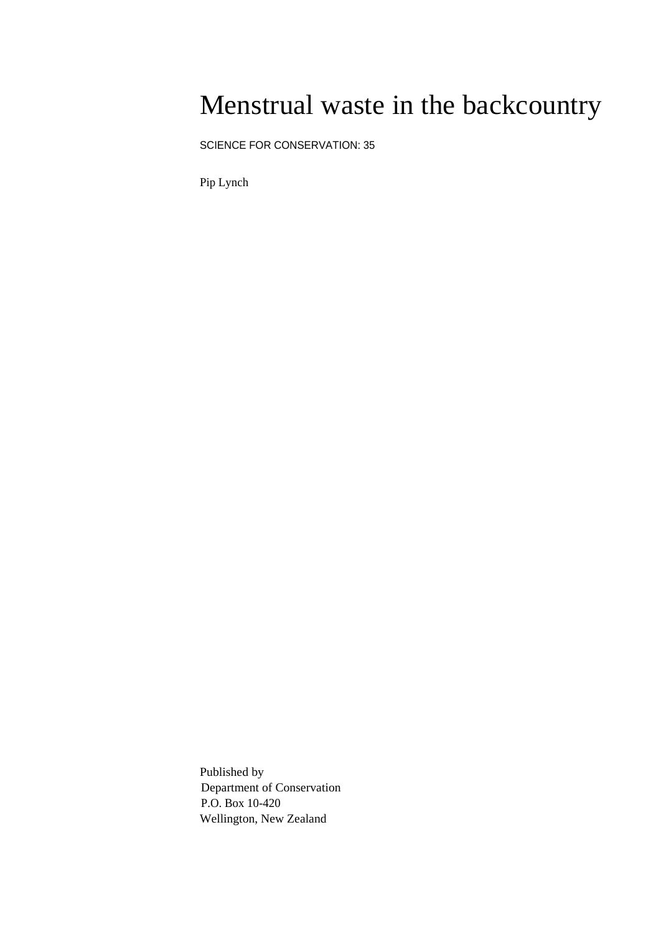## Menstrual waste in the backcountry

SCIENCE FOR CONSERVATION: 35

Pip Lynch

Published by Department of Conservation P.O. Box 10-420 Wellington, New Zealand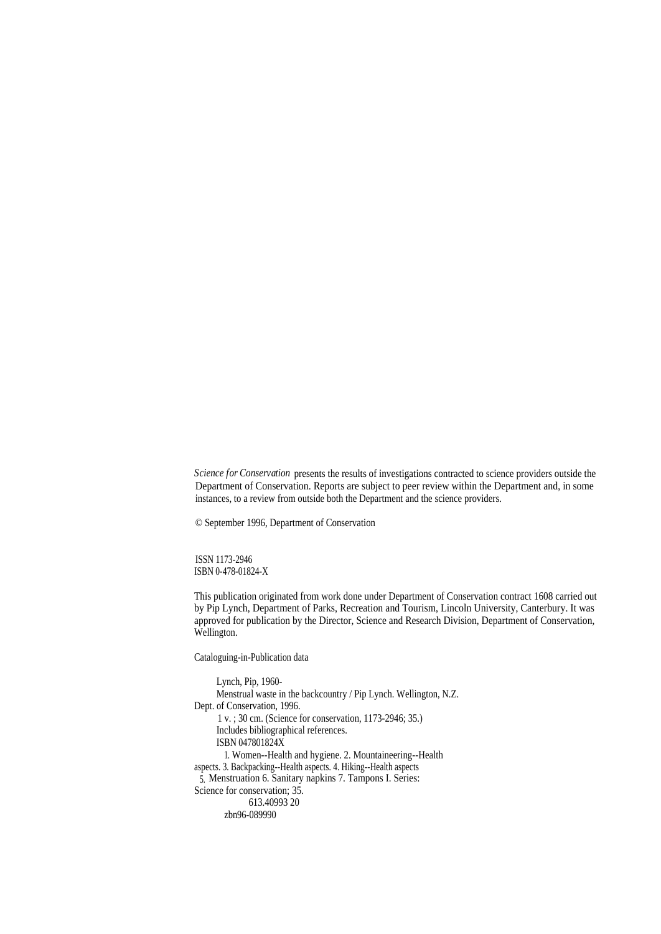*Science for Conservation* presents the results of investigations contracted to science providers outside the Department of Conservation. Reports are subject to peer review within the Department and, in some instances, to a review from outside both the Department and the science providers.

© September 1996, Department of Conservation

ISSN 1173-2946 ISBN 0-478-01824-X

This publication originated from work done under Department of Conservation contract 1608 carried out by Pip Lynch, Department of Parks, Recreation and Tourism, Lincoln University, Canterbury. It was approved for publication by the Director, Science and Research Division, Department of Conservation, Wellington.

Cataloguing-in-Publication data

Lynch, Pip, 1960- Menstrual waste in the backcountry / Pip Lynch. Wellington, N.Z. Dept. of Conservation, 1996. 1 v. ; 30 cm. (Science for conservation, 1173-2946; 35.) Includes bibliographical references. ISBN 047801824X 1. Women--Health and hygiene. 2. Mountaineering--Health aspects. 3. Backpacking--Health aspects. 4. Hiking--Health aspects 5. Menstruation 6. Sanitary napkins 7. Tampons I. Series: Science for conservation; 35. 613.40993 20 zbn96-089990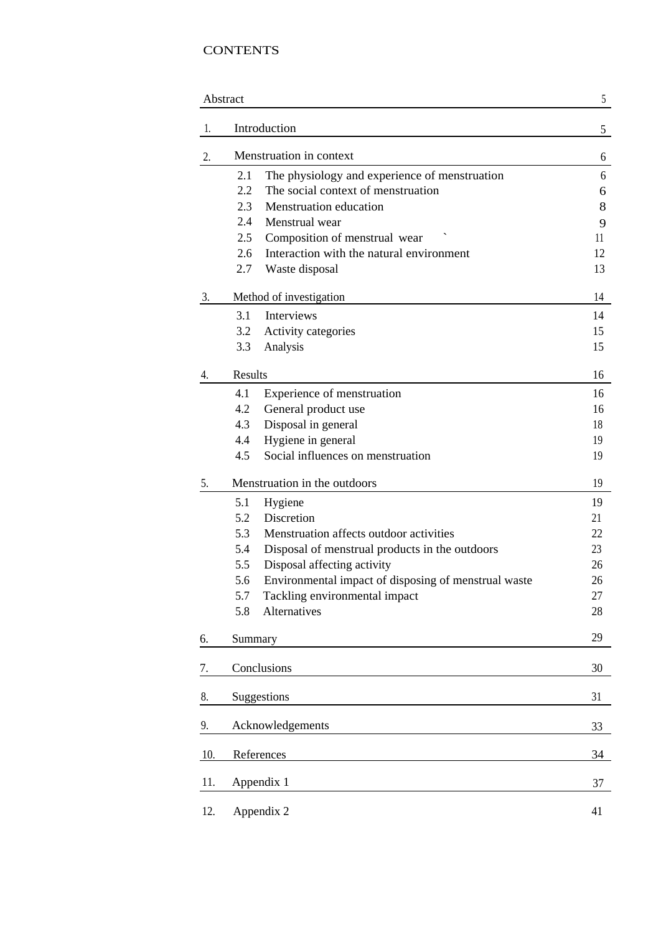### **CONTENTS**

|     | Abstract                                                    | 5  |
|-----|-------------------------------------------------------------|----|
| 1.  | Introduction                                                | 5  |
| 2.  | Menstruation in context                                     | 6  |
|     | 2.1<br>The physiology and experience of menstruation        | 6  |
|     | 2.2<br>The social context of menstruation                   | 6  |
|     | 2.3<br><b>Menstruation</b> education                        | 8  |
|     | 2.4<br>Menstrual wear                                       | 9  |
|     | 2.5<br>Composition of menstrual wear                        | 11 |
|     | Interaction with the natural environment<br>2.6             | 12 |
|     | 2.7<br>Waste disposal                                       | 13 |
| 3.  | Method of investigation                                     | 14 |
|     | 3.1<br>Interviews                                           | 14 |
|     | Activity categories<br>3.2                                  | 15 |
|     | 3.3<br>Analysis                                             | 15 |
| 4.  | <b>Results</b>                                              | 16 |
|     | 4.1<br>Experience of menstruation                           | 16 |
|     | 4.2<br>General product use                                  | 16 |
|     | Disposal in general<br>4.3                                  | 18 |
|     | 4.4<br>Hygiene in general                                   | 19 |
|     | Social influences on menstruation<br>4.5                    | 19 |
| 5.  | Menstruation in the outdoors                                | 19 |
|     | 5.1<br>Hygiene                                              | 19 |
|     | Discretion<br>5.2                                           | 21 |
|     | Menstruation affects outdoor activities<br>5.3              | 22 |
|     | 5.4<br>Disposal of menstrual products in the outdoors       | 23 |
|     | Disposal affecting activity<br>5.5                          | 26 |
|     | Environmental impact of disposing of menstrual waste<br>5.6 | 26 |
|     | 5.7<br>Tackling environmental impact                        | 27 |
|     | Alternatives<br>5.8                                         | 28 |
| 6.  | Summary                                                     | 29 |
| 7.  | Conclusions                                                 | 30 |
| 8.  | Suggestions                                                 | 31 |
| 9.  | Acknowledgements                                            | 33 |
| 10. | References                                                  | 34 |
|     |                                                             |    |
| 11. | Appendix 1                                                  | 37 |
| 12. | Appendix 2                                                  | 41 |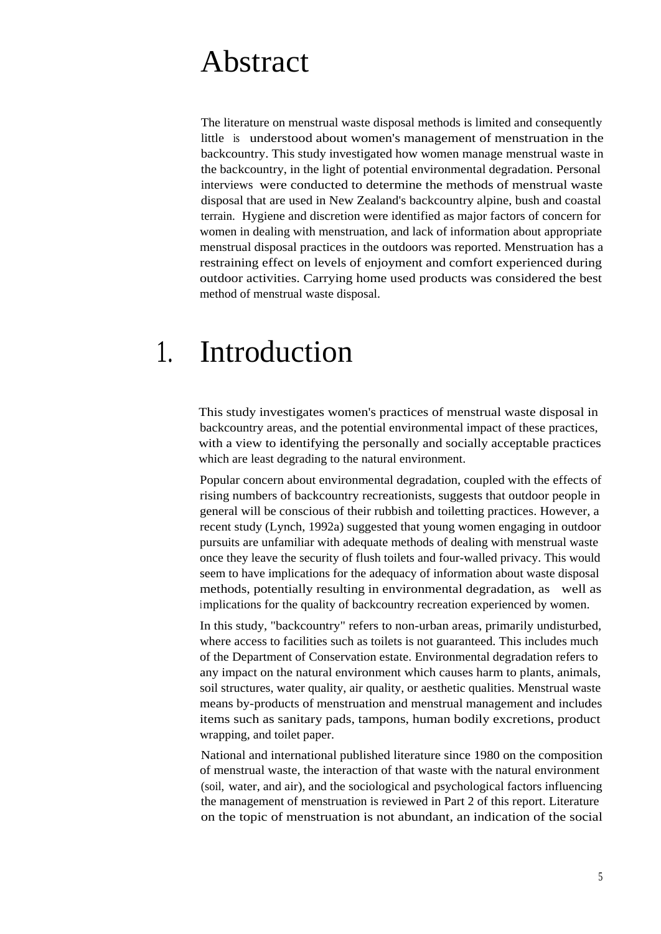## Abstract

The literature on menstrual waste disposal methods is limited and consequently little is understood about women's management of menstruation in the backcountry. This study investigated how women manage menstrual waste in the backcountry, in the light of potential environmental degradation. Personal interviews were conducted to determine the methods of menstrual waste disposal that are used in New Zealand's backcountry alpine, bush and coastal terrain. Hygiene and discretion were identified as major factors of concern for women in dealing with menstruation, and lack of information about appropriate menstrual disposal practices in the outdoors was reported. Menstruation has a restraining effect on levels of enjoyment and comfort experienced during outdoor activities. Carrying home used products was considered the best method of menstrual waste disposal.

## 1. Introduction

This study investigates women's practices of menstrual waste disposal in backcountry areas, and the potential environmental impact of these practices, with a view to identifying the personally and socially acceptable practices which are least degrading to the natural environment.

Popular concern about environmental degradation, coupled with the effects of rising numbers of backcountry recreationists, suggests that outdoor people in general will be conscious of their rubbish and toiletting practices. However, a recent study (Lynch, 1992a) suggested that young women engaging in outdoor pursuits are unfamiliar with adequate methods of dealing with menstrual waste once they leave the security of flush toilets and four-walled privacy. This would seem to have implications for the adequacy of information about waste disposal methods, potentially resulting in environmental degradation, as well as implications for the quality of backcountry recreation experienced by women.

In this study, "backcountry" refers to non-urban areas, primarily undisturbed, where access to facilities such as toilets is not guaranteed. This includes much of the Department of Conservation estate. Environmental degradation refers to any impact on the natural environment which causes harm to plants, animals, soil structures, water quality, air quality, or aesthetic qualities. Menstrual waste means by-products of menstruation and menstrual management and includes items such as sanitary pads, tampons, human bodily excretions, product wrapping, and toilet paper.

National and international published literature since 1980 on the composition of menstrual waste, the interaction of that waste with the natural environment (soil, water, and air), and the sociological and psychological factors influencing the management of menstruation is reviewed in Part 2 of this report. Literature on the topic of menstruation is not abundant, an indication of the social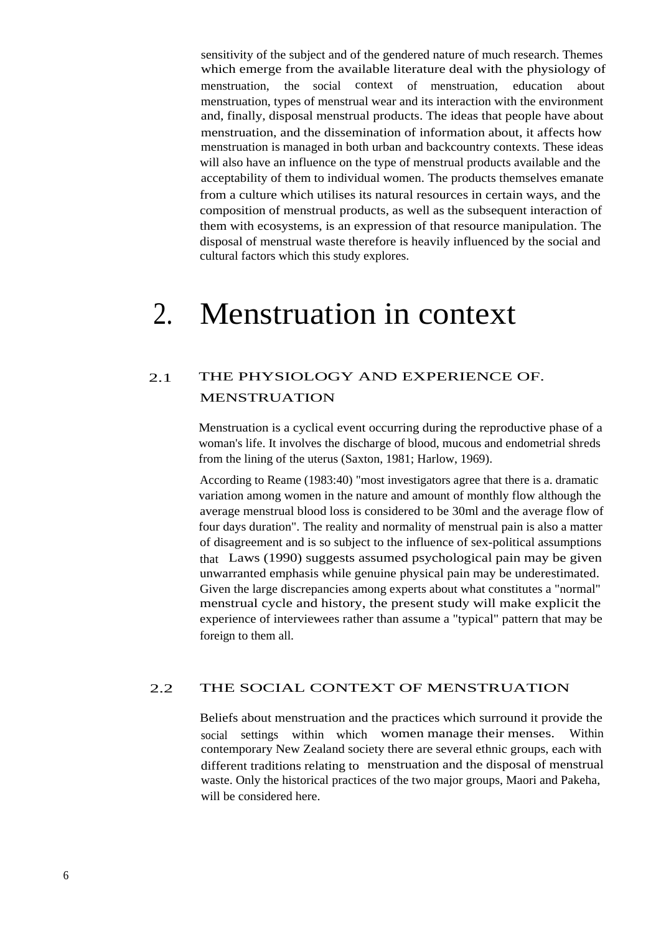sensitivity of the subject and of the gendered nature of much research. Themes which emerge from the available literature deal with the physiology of menstruation, the social context of menstruation, education about menstruation, types of menstrual wear and its interaction with the environment and, finally, disposal menstrual products. The ideas that people have about menstruation, and the dissemination of information about, it affects how menstruation is managed in both urban and backcountry contexts. These ideas will also have an influence on the type of menstrual products available and the acceptability of them to individual women. The products themselves emanate from a culture which utilises its natural resources in certain ways, and the composition of menstrual products, as well as the subsequent interaction of them with ecosystems, is an expression of that resource manipulation. The disposal of menstrual waste therefore is heavily influenced by the social and cultural factors which this study explores.

# 2. Menstruation in context

### 2.1 THE PHYSIOLOGY AND EXPERIENCE OF. MENSTRUATION

Menstruation is a cyclical event occurring during the reproductive phase of a woman's life. It involves the discharge of blood, mucous and endometrial shreds from the lining of the uterus (Saxton, 1981; Harlow, 1969).

According to Reame (1983:40) "most investigators agree that there is a. dramatic variation among women in the nature and amount of monthly flow although the average menstrual blood loss is considered to be 30ml and the average flow of four days duration". The reality and normality of menstrual pain is also a matter of disagreement and is so subject to the influence of sex-political assumptions that Laws (1990) suggests assumed psychological pain may be given unwarranted emphasis while genuine physical pain may be underestimated. Given the large discrepancies among experts about what constitutes a "normal" menstrual cycle and history, the present study will make explicit the experience of interviewees rather than assume a "typical" pattern that may be foreign to them all.

#### 2.2 THE SOCIAL CONTEXT OF MENSTRUATION

Beliefs about menstruation and the practices which surround it provide the social settings within which women manage their menses. Within contemporary New Zealand society there are several ethnic groups, each with different traditions relating to menstruation and the disposal of menstrual waste. Only the historical practices of the two major groups, Maori and Pakeha, will be considered here.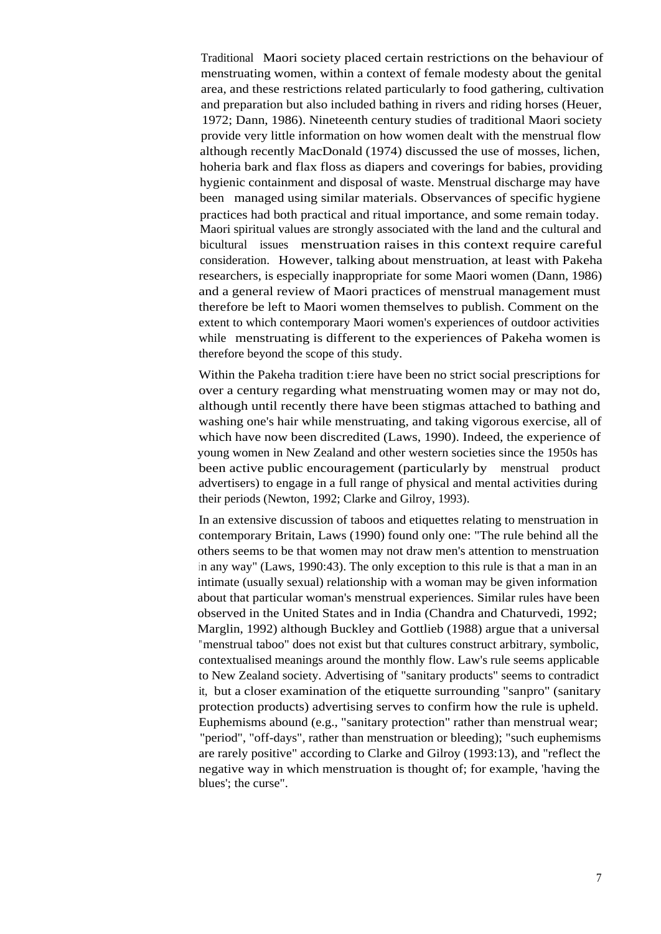Traditional Maori society placed certain restrictions on the behaviour of menstruating women, within a context of female modesty about the genital area, and these restrictions related particularly to food gathering, cultivation and preparation but also included bathing in rivers and riding horses (Heuer, 1972; Dann, 1986). Nineteenth century studies of traditional Maori society provide very little information on how women dealt with the menstrual flow although recently MacDonald (1974) discussed the use of mosses, lichen, hoheria bark and flax floss as diapers and coverings for babies, providing hygienic containment and disposal of waste. Menstrual discharge may have been managed using similar materials. Observances of specific hygiene practices had both practical and ritual importance, and some remain today. Maori spiritual values are strongly associated with the land and the cultural and bicultural issues menstruation raises in this context require careful consideration. However, talking about menstruation, at least with Pakeha researchers, is especially inappropriate for some Maori women (Dann, 1986) and a general review of Maori practices of menstrual management must therefore be left to Maori women themselves to publish. Comment on the extent to which contemporary Maori women's experiences of outdoor activities while menstruating is different to the experiences of Pakeha women is therefore beyond the scope of this study.

Within the Pakeha tradition t:iere have been no strict social prescriptions for over a century regarding what menstruating women may or may not do, although until recently there have been stigmas attached to bathing and washing one's hair while menstruating, and taking vigorous exercise, all of which have now been discredited (Laws, 1990). Indeed, the experience of young women in New Zealand and other western societies since the 1950s has been active public encouragement (particularly by menstrual product advertisers) to engage in a full range of physical and mental activities during their periods (Newton, 1992; Clarke and Gilroy, 1993).

In an extensive discussion of taboos and etiquettes relating to menstruation in contemporary Britain, Laws (1990) found only one: "The rule behind all the others seems to be that women may not draw men's attention to menstruation in any way" (Laws, 1990:43). The only exception to this rule is that a man in an intimate (usually sexual) relationship with a woman may be given information about that particular woman's menstrual experiences. Similar rules have been observed in the United States and in India (Chandra and Chaturvedi, 1992; Marglin, 1992) although Buckley and Gottlieb (1988) argue that a universal "menstrual taboo" does not exist but that cultures construct arbitrary, symbolic, contextualised meanings around the monthly flow. Law's rule seems applicable to New Zealand society. Advertising of "sanitary products" seems to contradict it, but a closer examination of the etiquette surrounding "sanpro" (sanitary protection products) advertising serves to confirm how the rule is upheld. Euphemisms abound (e.g., "sanitary protection" rather than menstrual wear; "period", "off-days", rather than menstruation or bleeding); "such euphemisms are rarely positive" according to Clarke and Gilroy (1993:13), and "reflect the negative way in which menstruation is thought of; for example, 'having the blues'; the curse".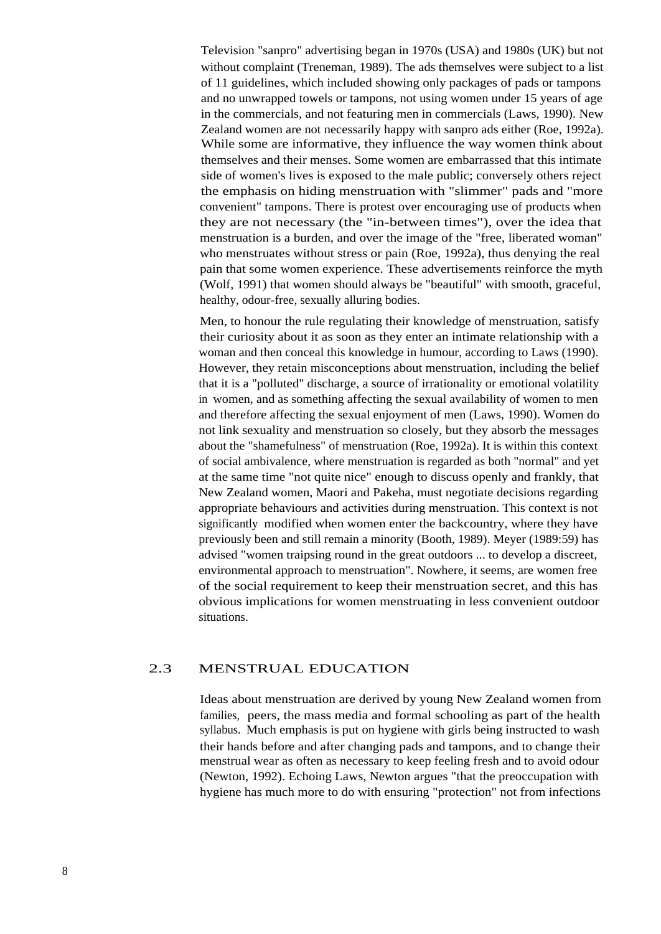Television "sanpro" advertising began in 1970s (USA) and 1980s (UK) but not without complaint (Treneman, 1989). The ads themselves were subject to a list of 11 guidelines, which included showing only packages of pads or tampons and no unwrapped towels or tampons, not using women under 15 years of age in the commercials, and not featuring men in commercials (Laws, 1990). New Zealand women are not necessarily happy with sanpro ads either (Roe, 1992a). While some are informative, they influence the way women think about themselves and their menses. Some women are embarrassed that this intimate side of women's lives is exposed to the male public; conversely others reject the emphasis on hiding menstruation with "slimmer" pads and "more convenient" tampons. There is protest over encouraging use of products when they are not necessary (the "in-between times"), over the idea that menstruation is a burden, and over the image of the "free, liberated woman" who menstruates without stress or pain (Roe, 1992a), thus denying the real pain that some women experience. These advertisements reinforce the myth (Wolf, 1991) that women should always be "beautiful" with smooth, graceful, healthy, odour-free, sexually alluring bodies.

Men, to honour the rule regulating their knowledge of menstruation, satisfy their curiosity about it as soon as they enter an intimate relationship with a woman and then conceal this knowledge in humour, according to Laws (1990). However, they retain misconceptions about menstruation, including the belief that it is a "polluted" discharge, a source of irrationality or emotional volatility in women, and as something affecting the sexual availability of women to men and therefore affecting the sexual enjoyment of men (Laws, 1990). Women do not link sexuality and menstruation so closely, but they absorb the messages about the "shamefulness" of menstruation (Roe, 1992a). It is within this context of social ambivalence, where menstruation is regarded as both "normal" and yet at the same time "not quite nice" enough to discuss openly and frankly, that New Zealand women, Maori and Pakeha, must negotiate decisions regarding appropriate behaviours and activities during menstruation. This context is not significantly modified when women enter the backcountry, where they have previously been and still remain a minority (Booth, 1989). Meyer (1989:59) has advised "women traipsing round in the great outdoors ... to develop a discreet, environmental approach to menstruation". Nowhere, it seems, are women free of the social requirement to keep their menstruation secret, and this has obvious implications for women menstruating in less convenient outdoor situations.

#### 2.3 MENSTRUAL EDUCATION

Ideas about menstruation are derived by young New Zealand women from families, peers, the mass media and formal schooling as part of the health syllabus. Much emphasis is put on hygiene with girls being instructed to wash their hands before and after changing pads and tampons, and to change their menstrual wear as often as necessary to keep feeling fresh and to avoid odour (Newton, 1992). Echoing Laws, Newton argues "that the preoccupation with hygiene has much more to do with ensuring "protection" not from infections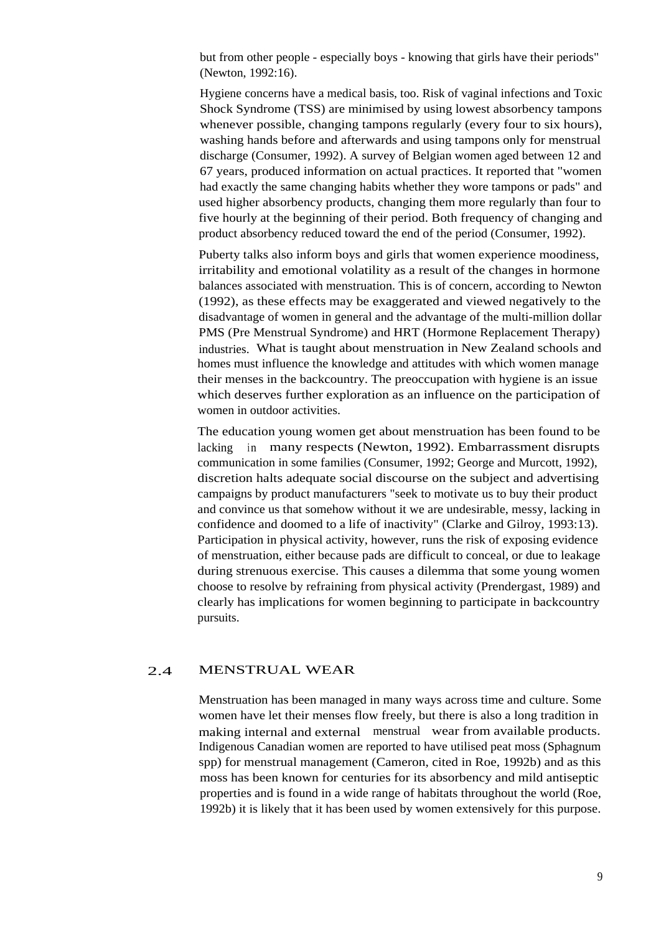but from other people - especially boys - knowing that girls have their periods" (Newton, 1992:16).

Hygiene concerns have a medical basis, too. Risk of vaginal infections and Toxic Shock Syndrome (TSS) are minimised by using lowest absorbency tampons whenever possible, changing tampons regularly (every four to six hours), washing hands before and afterwards and using tampons only for menstrual discharge (Consumer, 1992). A survey of Belgian women aged between 12 and 67 years, produced information on actual practices. It reported that "women had exactly the same changing habits whether they wore tampons or pads" and used higher absorbency products, changing them more regularly than four to five hourly at the beginning of their period. Both frequency of changing and product absorbency reduced toward the end of the period (Consumer, 1992).

Puberty talks also inform boys and girls that women experience moodiness, irritability and emotional volatility as a result of the changes in hormone balances associated with menstruation. This is of concern, according to Newton (1992), as these effects may be exaggerated and viewed negatively to the disadvantage of women in general and the advantage of the multi-million dollar PMS (Pre Menstrual Syndrome) and HRT (Hormone Replacement Therapy) industries. What is taught about menstruation in New Zealand schools and homes must influence the knowledge and attitudes with which women manage their menses in the backcountry. The preoccupation with hygiene is an issue which deserves further exploration as an influence on the participation of women in outdoor activities.

The education young women get about menstruation has been found to be lacking in many respects (Newton, 1992). Embarrassment disrupts communication in some families (Consumer, 1992; George and Murcott, 1992), discretion halts adequate social discourse on the subject and advertising campaigns by product manufacturers "seek to motivate us to buy their product and convince us that somehow without it we are undesirable, messy, lacking in confidence and doomed to a life of inactivity" (Clarke and Gilroy, 1993:13). Participation in physical activity, however, runs the risk of exposing evidence of menstruation, either because pads are difficult to conceal, or due to leakage during strenuous exercise. This causes a dilemma that some young women choose to resolve by refraining from physical activity (Prendergast, 1989) and clearly has implications for women beginning to participate in backcountry pursuits.

#### 2.4 MENSTRUAL WEAR

Menstruation has been managed in many ways across time and culture. Some women have let their menses flow freely, but there is also a long tradition in making internal and external menstrual wear from available products. Indigenous Canadian women are reported to have utilised peat moss (Sphagnum spp) for menstrual management (Cameron, cited in Roe, 1992b) and as this moss has been known for centuries for its absorbency and mild antiseptic properties and is found in a wide range of habitats throughout the world (Roe, 1992b) it is likely that it has been used by women extensively for this purpose.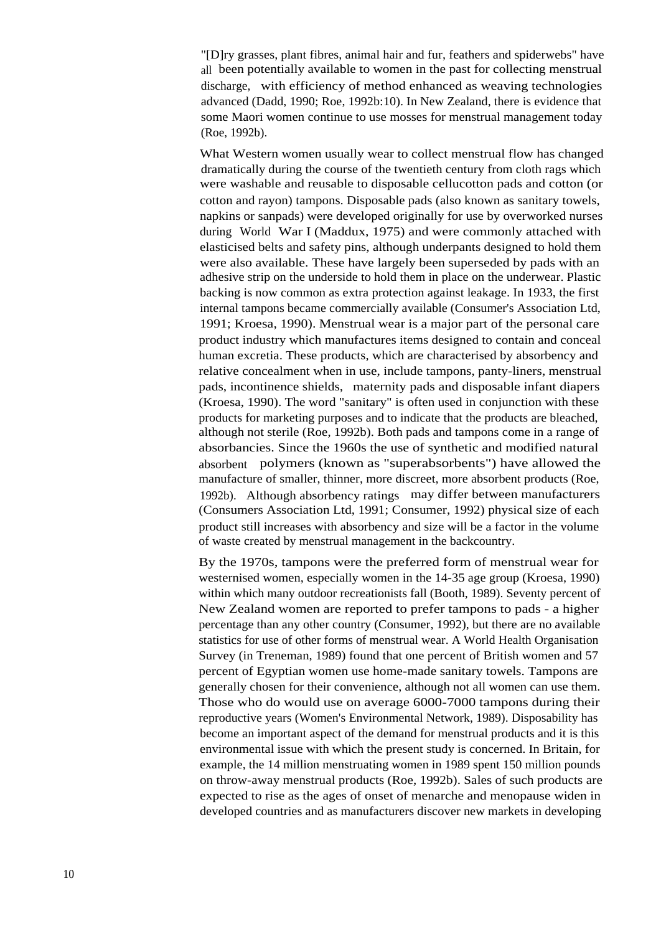"[D]ry grasses, plant fibres, animal hair and fur, feathers and spiderwebs" have all been potentially available to women in the past for collecting menstrual discharge, with efficiency of method enhanced as weaving technologies advanced (Dadd, 1990; Roe, 1992b:10). In New Zealand, there is evidence that some Maori women continue to use mosses for menstrual management today (Roe, 1992b).

What Western women usually wear to collect menstrual flow has changed dramatically during the course of the twentieth century from cloth rags which were washable and reusable to disposable cellucotton pads and cotton (or cotton and rayon) tampons. Disposable pads (also known as sanitary towels, napkins or sanpads) were developed originally for use by overworked nurses during World War I (Maddux, 1975) and were commonly attached with elasticised belts and safety pins, although underpants designed to hold them were also available. These have largely been superseded by pads with an adhesive strip on the underside to hold them in place on the underwear. Plastic backing is now common as extra protection against leakage. In 1933, the first internal tampons became commercially available (Consumer's Association Ltd, 1991; Kroesa, 1990). Menstrual wear is a major part of the personal care product industry which manufactures items designed to contain and conceal human excretia. These products, which are characterised by absorbency and relative concealment when in use, include tampons, panty-liners, menstrual pads, incontinence shields, maternity pads and disposable infant diapers (Kroesa, 1990). The word "sanitary" is often used in conjunction with these products for marketing purposes and to indicate that the products are bleached, although not sterile (Roe, 1992b). Both pads and tampons come in a range of absorbancies. Since the 1960s the use of synthetic and modified natural absorbent polymers (known as "superabsorbents") have allowed the manufacture of smaller, thinner, more discreet, more absorbent products (Roe, 1992b). Although absorbency ratings may differ between manufacturers (Consumers Association Ltd, 1991; Consumer, 1992) physical size of each product still increases with absorbency and size will be a factor in the volume of waste created by menstrual management in the backcountry.

By the 1970s, tampons were the preferred form of menstrual wear for westernised women, especially women in the 14-35 age group (Kroesa, 1990) within which many outdoor recreationists fall (Booth, 1989). Seventy percent of New Zealand women are reported to prefer tampons to pads - a higher percentage than any other country (Consumer, 1992), but there are no available statistics for use of other forms of menstrual wear. A World Health Organisation Survey (in Treneman, 1989) found that one percent of British women and 57 percent of Egyptian women use home-made sanitary towels. Tampons are generally chosen for their convenience, although not all women can use them. Those who do would use on average 6000-7000 tampons during their reproductive years (Women's Environmental Network, 1989). Disposability has become an important aspect of the demand for menstrual products and it is this environmental issue with which the present study is concerned. In Britain, for example, the 14 million menstruating women in 1989 spent 150 million pounds on throw-away menstrual products (Roe, 1992b). Sales of such products are expected to rise as the ages of onset of menarche and menopause widen in developed countries and as manufacturers discover new markets in developing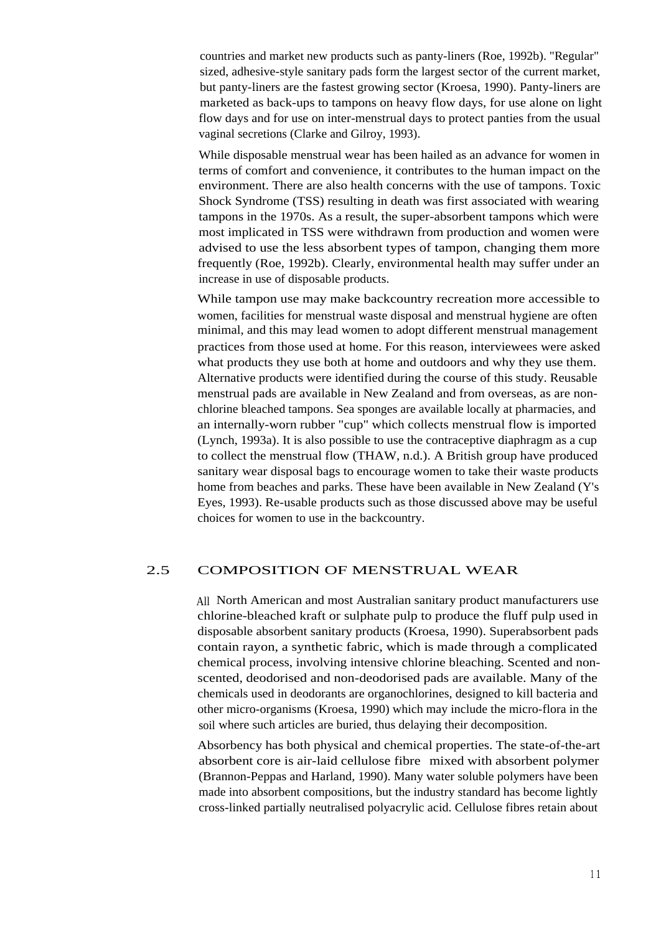countries and market new products such as panty-liners (Roe, 1992b). "Regular" sized, adhesive-style sanitary pads form the largest sector of the current market, but panty-liners are the fastest growing sector (Kroesa, 1990). Panty-liners are marketed as back-ups to tampons on heavy flow days, for use alone on light flow days and for use on inter-menstrual days to protect panties from the usual vaginal secretions (Clarke and Gilroy, 1993).

While disposable menstrual wear has been hailed as an advance for women in terms of comfort and convenience, it contributes to the human impact on the environment. There are also health concerns with the use of tampons. Toxic Shock Syndrome (TSS) resulting in death was first associated with wearing tampons in the 1970s. As a result, the super-absorbent tampons which were most implicated in TSS were withdrawn from production and women were advised to use the less absorbent types of tampon, changing them more frequently (Roe, 1992b). Clearly, environmental health may suffer under an increase in use of disposable products.

While tampon use may make backcountry recreation more accessible to women, facilities for menstrual waste disposal and menstrual hygiene are often minimal, and this may lead women to adopt different menstrual management practices from those used at home. For this reason, interviewees were asked what products they use both at home and outdoors and why they use them. Alternative products were identified during the course of this study. Reusable menstrual pads are available in New Zealand and from overseas, as are nonchlorine bleached tampons. Sea sponges are available locally at pharmacies, and an internally-worn rubber "cup" which collects menstrual flow is imported (Lynch, 1993a). It is also possible to use the contraceptive diaphragm as a cup to collect the menstrual flow (THAW, n.d.). A British group have produced sanitary wear disposal bags to encourage women to take their waste products home from beaches and parks. These have been available in New Zealand (Y's Eyes, 1993). Re-usable products such as those discussed above may be useful choices for women to use in the backcountry.

#### 2.5 COMPOSITION OF MENSTRUAL WEAR

All North American and most Australian sanitary product manufacturers use chlorine-bleached kraft or sulphate pulp to produce the fluff pulp used in disposable absorbent sanitary products (Kroesa, 1990). Superabsorbent pads contain rayon, a synthetic fabric, which is made through a complicated chemical process, involving intensive chlorine bleaching. Scented and nonscented, deodorised and non-deodorised pads are available. Many of the chemicals used in deodorants are organochlorines, designed to kill bacteria and other micro-organisms (Kroesa, 1990) which may include the micro-flora in the soil where such articles are buried, thus delaying their decomposition.

Absorbency has both physical and chemical properties. The state-of-the-art absorbent core is air-laid cellulose fibre mixed with absorbent polymer (Brannon-Peppas and Harland, 1990). Many water soluble polymers have been made into absorbent compositions, but the industry standard has become lightly cross-linked partially neutralised polyacrylic acid. Cellulose fibres retain about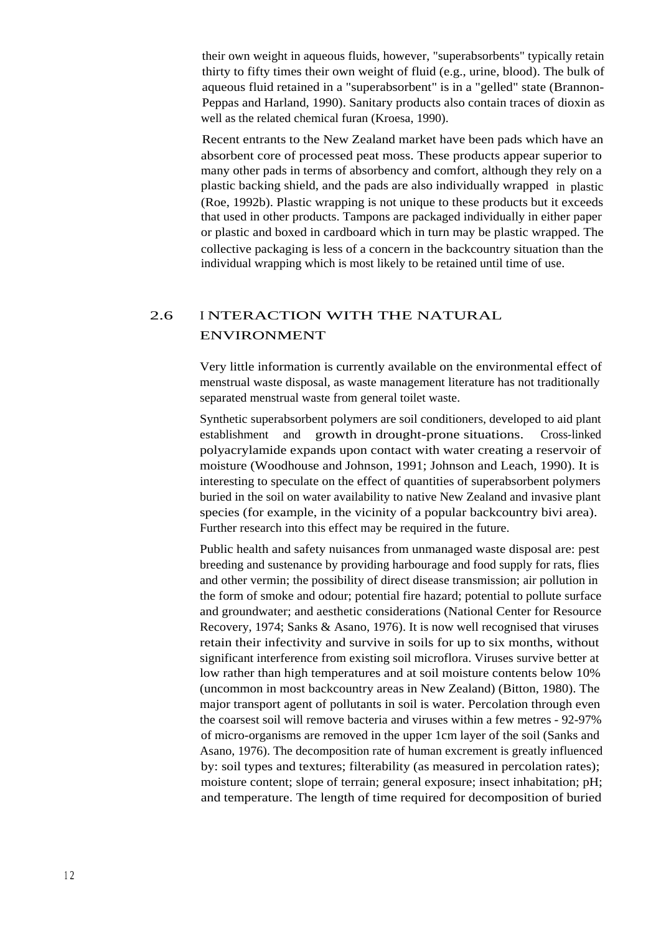their own weight in aqueous fluids, however, "superabsorbents" typically retain thirty to fifty times their own weight of fluid (e.g., urine, blood). The bulk of aqueous fluid retained in a "superabsorbent" is in a "gelled" state (Brannon-Peppas and Harland, 1990). Sanitary products also contain traces of dioxin as well as the related chemical furan (Kroesa, 1990).

Recent entrants to the New Zealand market have been pads which have an absorbent core of processed peat moss. These products appear superior to many other pads in terms of absorbency and comfort, although they rely on a plastic backing shield, and the pads are also individually wrapped in plastic (Roe, 1992b). Plastic wrapping is not unique to these products but it exceeds that used in other products. Tampons are packaged individually in either paper or plastic and boxed in cardboard which in turn may be plastic wrapped. The collective packaging is less of a concern in the backcountry situation than the individual wrapping which is most likely to be retained until time of use.

### 2.6 I NTERACTION WITH THE NATURAL ENVIRONMENT

Very little information is currently available on the environmental effect of menstrual waste disposal, as waste management literature has not traditionally separated menstrual waste from general toilet waste.

Synthetic superabsorbent polymers are soil conditioners, developed to aid plant establishment and growth in drought-prone situations. Cross-linked polyacrylamide expands upon contact with water creating a reservoir of moisture (Woodhouse and Johnson, 1991; Johnson and Leach, 1990). It is interesting to speculate on the effect of quantities of superabsorbent polymers buried in the soil on water availability to native New Zealand and invasive plant species (for example, in the vicinity of a popular backcountry bivi area). Further research into this effect may be required in the future.

Public health and safety nuisances from unmanaged waste disposal are: pest breeding and sustenance by providing harbourage and food supply for rats, flies and other vermin; the possibility of direct disease transmission; air pollution in the form of smoke and odour; potential fire hazard; potential to pollute surface and groundwater; and aesthetic considerations (National Center for Resource Recovery, 1974; Sanks & Asano, 1976). It is now well recognised that viruses retain their infectivity and survive in soils for up to six months, without significant interference from existing soil microflora. Viruses survive better at low rather than high temperatures and at soil moisture contents below 10% (uncommon in most backcountry areas in New Zealand) (Bitton, 1980). The major transport agent of pollutants in soil is water. Percolation through even the coarsest soil will remove bacteria and viruses within a few metres - 92-97% of micro-organisms are removed in the upper 1cm layer of the soil (Sanks and Asano, 1976). The decomposition rate of human excrement is greatly influenced by: soil types and textures; filterability (as measured in percolation rates); moisture content; slope of terrain; general exposure; insect inhabitation; pH; and temperature. The length of time required for decomposition of buried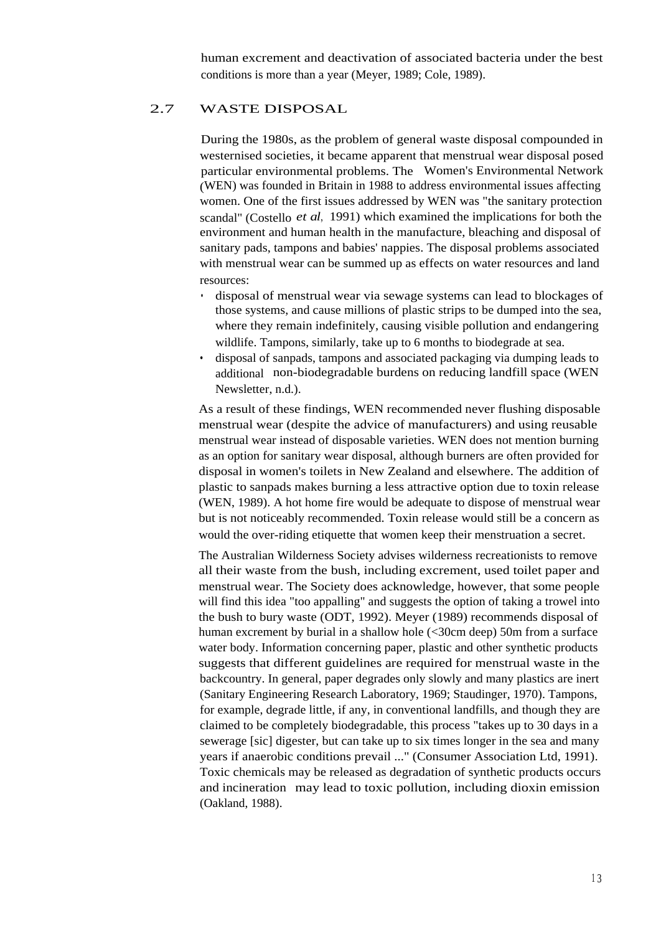human excrement and deactivation of associated bacteria under the best conditions is more than a year (Meyer, 1989; Cole, 1989).

#### 2.7 WASTE DISPOSAL

During the 1980s, as the problem of general waste disposal compounded in westernised societies, it became apparent that menstrual wear disposal posed particular environmental problems. The Women's Environmental Network (WEN) was founded in Britain in 1988 to address environmental issues affecting women. One of the first issues addressed by WEN was "the sanitary protection scandal" (Costello *et al*, 1991) which examined the implications for both the environment and human health in the manufacture, bleaching and disposal of sanitary pads, tampons and babies' nappies. The disposal problems associated with menstrual wear can be summed up as effects on water resources and land resources:

- disposal of menstrual wear via sewage systems can lead to blockages of those systems, and cause millions of plastic strips to be dumped into the sea, where they remain indefinitely, causing visible pollution and endangering wildlife. Tampons, similarly, take up to 6 months to biodegrade at sea.
- disposal of sanpads, tampons and associated packaging via dumping leads to additional non-biodegradable burdens on reducing landfill space (WEN Newsletter, n.d.).

As a result of these findings, WEN recommended never flushing disposable menstrual wear (despite the advice of manufacturers) and using reusable menstrual wear instead of disposable varieties. WEN does not mention burning as an option for sanitary wear disposal, although burners are often provided for disposal in women's toilets in New Zealand and elsewhere. The addition of plastic to sanpads makes burning a less attractive option due to toxin release (WEN, 1989). A hot home fire would be adequate to dispose of menstrual wear but is not noticeably recommended. Toxin release would still be a concern as would the over-riding etiquette that women keep their menstruation a secret.

The Australian Wilderness Society advises wilderness recreationists to remove all their waste from the bush, including excrement, used toilet paper and menstrual wear. The Society does acknowledge, however, that some people will find this idea "too appalling" and suggests the option of taking a trowel into the bush to bury waste (ODT, 1992). Meyer (1989) recommends disposal of human excrement by burial in a shallow hole (<30cm deep) 50m from a surface water body. Information concerning paper, plastic and other synthetic products suggests that different guidelines are required for menstrual waste in the backcountry. In general, paper degrades only slowly and many plastics are inert (Sanitary Engineering Research Laboratory, 1969; Staudinger, 1970). Tampons, for example, degrade little, if any, in conventional landfills, and though they are claimed to be completely biodegradable, this process "takes up to 30 days in a sewerage [sic] digester, but can take up to six times longer in the sea and many years if anaerobic conditions prevail ..." (Consumer Association Ltd, 1991). Toxic chemicals may be released as degradation of synthetic products occurs and incineration may lead to toxic pollution, including dioxin emission (Oakland, 1988).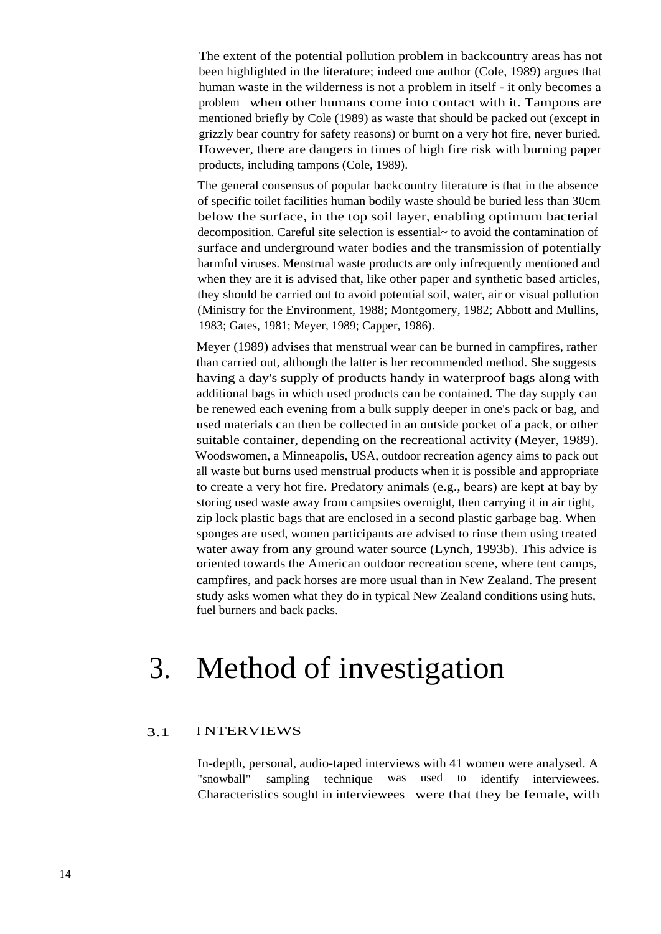The extent of the potential pollution problem in backcountry areas has not been highlighted in the literature; indeed one author (Cole, 1989) argues that human waste in the wilderness is not a problem in itself - it only becomes a problem when other humans come into contact with it. Tampons are mentioned briefly by Cole (1989) as waste that should be packed out (except in grizzly bear country for safety reasons) or burnt on a very hot fire, never buried. However, there are dangers in times of high fire risk with burning paper products, including tampons (Cole, 1989).

The general consensus of popular backcountry literature is that in the absence of specific toilet facilities human bodily waste should be buried less than 30cm below the surface, in the top soil layer, enabling optimum bacterial decomposition. Careful site selection is essential~ to avoid the contamination of surface and underground water bodies and the transmission of potentially harmful viruses. Menstrual waste products are only infrequently mentioned and when they are it is advised that, like other paper and synthetic based articles, they should be carried out to avoid potential soil, water, air or visual pollution (Ministry for the Environment, 1988; Montgomery, 1982; Abbott and Mullins, 1983; Gates, 1981; Meyer, 1989; Capper, 1986).

Meyer (1989) advises that menstrual wear can be burned in campfires, rather than carried out, although the latter is her recommended method. She suggests having a day's supply of products handy in waterproof bags along with additional bags in which used products can be contained. The day supply can be renewed each evening from a bulk supply deeper in one's pack or bag, and used materials can then be collected in an outside pocket of a pack, or other suitable container, depending on the recreational activity (Meyer, 1989). Woodswomen, a Minneapolis, USA, outdoor recreation agency aims to pack out all waste but burns used menstrual products when it is possible and appropriate to create a very hot fire. Predatory animals (e.g., bears) are kept at bay by storing used waste away from campsites overnight, then carrying it in air tight, zip lock plastic bags that are enclosed in a second plastic garbage bag. When sponges are used, women participants are advised to rinse them using treated water away from any ground water source (Lynch, 1993b). This advice is oriented towards the American outdoor recreation scene, where tent camps, campfires, and pack horses are more usual than in New Zealand. The present study asks women what they do in typical New Zealand conditions using huts, fuel burners and back packs.

# 3. Method of investigation

#### 3.1 I NTERVIEWS

In-depth, personal, audio-taped interviews with 41 women were analysed. A "snowball" sampling technique was used to identify interviewees. Characteristics sought in interviewees were that they be female, with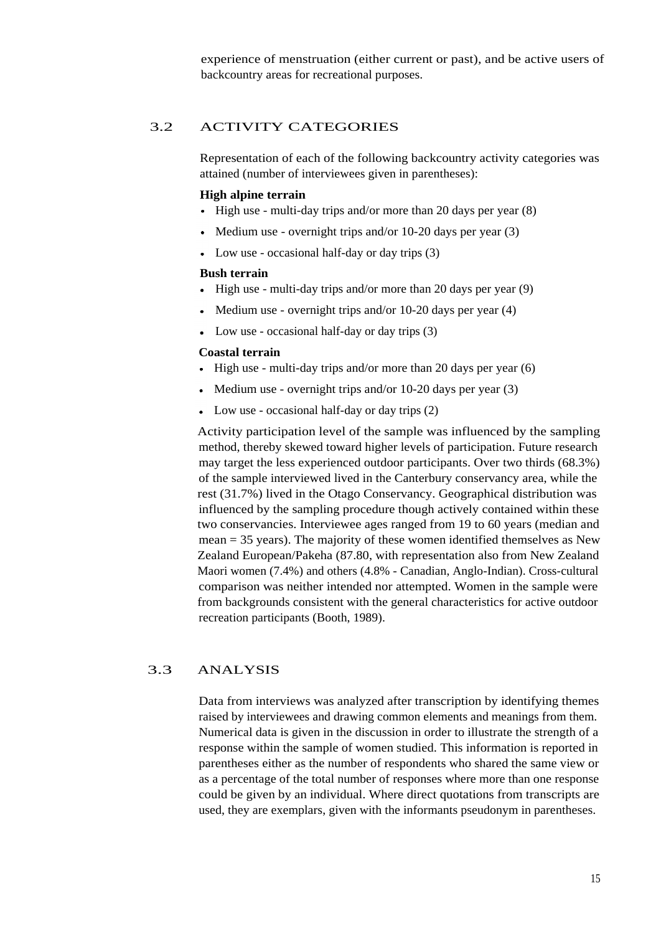experience of menstruation (either current or past), and be active users of backcountry areas for recreational purposes.

#### 3.2 ACTIVITY CATEGORIES

Representation of each of the following backcountry activity categories was attained (number of interviewees given in parentheses):

#### **High alpine terrain**

- $\bullet$  High use multi-day trips and/or more than 20 days per year (8)
- Medium use overnight trips and/or  $10-20$  days per year  $(3)$
- $\bullet$  Low use occasional half-day or day trips (3)

#### **Bush terrain**

- $\bullet$  High use multi-day trips and/or more than 20 days per year (9)
- Medium use overnight trips and/or 10-20 days per year (4)
- Low use occasional half-day or day trips (3)

#### **Coastal terrain**

- High use multi-day trips and/or more than 20 days per year (6)  $\bullet$
- Medium use overnight trips and/or 10-20 days per year (3)
- Low use occasional half-day or day trips (2)

Activity participation level of the sample was influenced by the sampling method, thereby skewed toward higher levels of participation. Future research may target the less experienced outdoor participants. Over two thirds (68.3%) of the sample interviewed lived in the Canterbury conservancy area, while the rest (31.7%) lived in the Otago Conservancy. Geographical distribution was influenced by the sampling procedure though actively contained within these two conservancies. Interviewee ages ranged from 19 to 60 years (median and mean = 35 years). The majority of these women identified themselves as New Zealand European/Pakeha (87.80, with representation also from New Zealand Maori women (7.4%) and others (4.8% - Canadian, Anglo-Indian). Cross-cultural comparison was neither intended nor attempted. Women in the sample were from backgrounds consistent with the general characteristics for active outdoor recreation participants (Booth, 1989).

#### 3.3 ANALYSIS

Data from interviews was analyzed after transcription by identifying themes raised by interviewees and drawing common elements and meanings from them. Numerical data is given in the discussion in order to illustrate the strength of a response within the sample of women studied. This information is reported in parentheses either as the number of respondents who shared the same view or as a percentage of the total number of responses where more than one response could be given by an individual. Where direct quotations from transcripts are used, they are exemplars, given with the informants pseudonym in parentheses.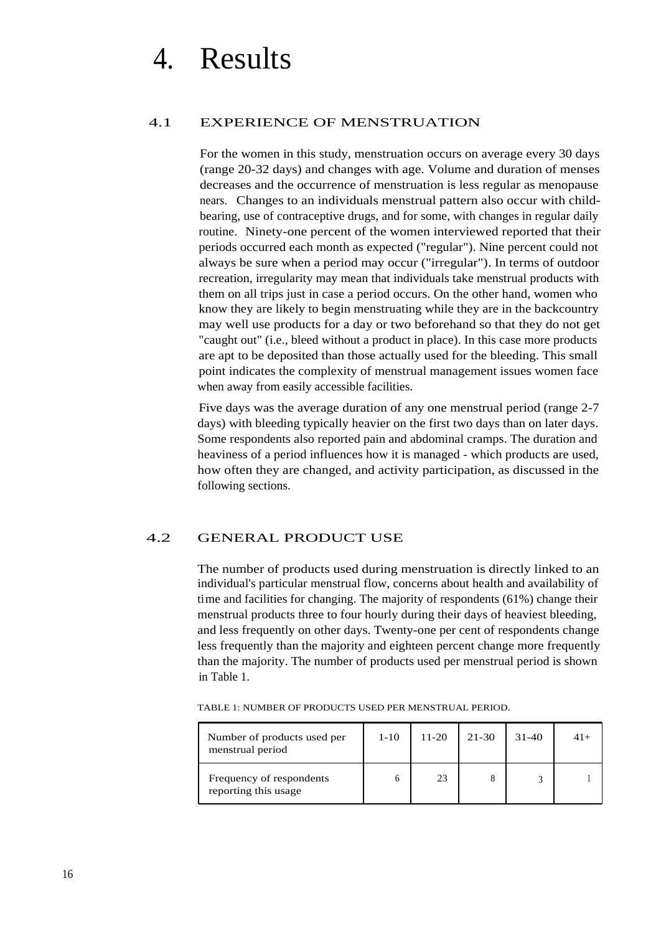# 4. Results

#### 4.1 EXPERIENCE OF MENSTRUATION

For the women in this study, menstruation occurs on average every 30 days (range 20-32 days) and changes with age. Volume and duration of menses decreases and the occurrence of menstruation is less regular as menopause nears. Changes to an individuals menstrual pattern also occur with childbearing, use of contraceptive drugs, and for some, with changes in regular daily routine. Ninety-one percent of the women interviewed reported that their periods occurred each month as expected ("regular"). Nine percent could not always be sure when a period may occur ("irregular"). In terms of outdoor recreation, irregularity may mean that individuals take menstrual products with them on all trips just in case a period occurs. On the other hand, women who know they are likely to begin menstruating while they are in the backcountry may well use products for a day or two beforehand so that they do not get "caught out" (i.e., bleed without a product in place). In this case more products are apt to be deposited than those actually used for the bleeding. This small point indicates the complexity of menstrual management issues women face when away from easily accessible facilities.

Five days was the average duration of any one menstrual period (range 2-7 days) with bleeding typically heavier on the first two days than on later days. Some respondents also reported pain and abdominal cramps. The duration and heaviness of a period influences how it is managed - which products are used, how often they are changed, and activity participation, as discussed in the following sections.

#### 4.2 GENERAL PRODUCT USE

The number of products used during menstruation is directly linked to an individual's particular menstrual flow, concerns about health and availability of time and facilities for changing. The majority of respondents (61%) change their menstrual products three to four hourly during their days of heaviest bleeding, and less frequently on other days. Twenty-one per cent of respondents change less frequently than the majority and eighteen percent change more frequently than the majority. The number of products used per menstrual period is shown in Table 1.

|  | TABLE 1: NUMBER OF PRODUCTS USED PER MENSTRUAL PERIOD. |
|--|--------------------------------------------------------|
|  |                                                        |

| Number of products used per<br>menstrual period  | $1 - 10$ | $11 - 20$ | 21-30 | $31 - 40$ | $41+$ |
|--------------------------------------------------|----------|-----------|-------|-----------|-------|
| Frequency of respondents<br>reporting this usage |          |           |       |           |       |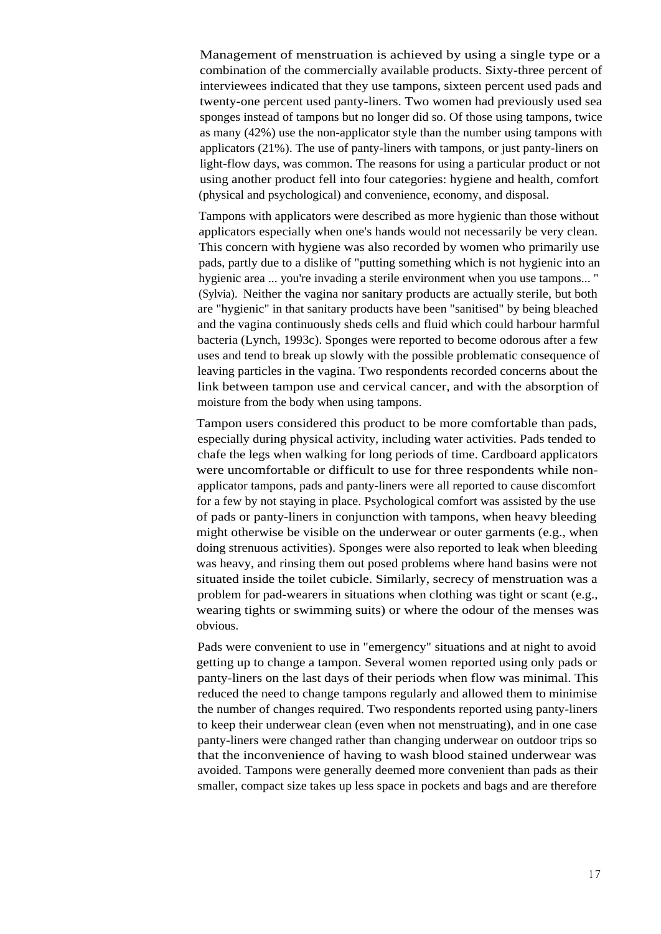Management of menstruation is achieved by using a single type or a combination of the commercially available products. Sixty-three percent of interviewees indicated that they use tampons, sixteen percent used pads and twenty-one percent used panty-liners. Two women had previously used sea sponges instead of tampons but no longer did so. Of those using tampons, twice as many (42%) use the non-applicator style than the number using tampons with applicators (21%). The use of panty-liners with tampons, or just panty-liners on light-flow days, was common. The reasons for using a particular product or not using another product fell into four categories: hygiene and health, comfort (physical and psychological) and convenience, economy, and disposal.

Tampons with applicators were described as more hygienic than those without applicators especially when one's hands would not necessarily be very clean. This concern with hygiene was also recorded by women who primarily use pads, partly due to a dislike of "putting something which is not hygienic into an hygienic area ... you're invading a sterile environment when you use tampons... " (Sylvia). Neither the vagina nor sanitary products are actually sterile, but both are "hygienic" in that sanitary products have been "sanitised" by being bleached and the vagina continuously sheds cells and fluid which could harbour harmful bacteria (Lynch, 1993c). Sponges were reported to become odorous after a few uses and tend to break up slowly with the possible problematic consequence of leaving particles in the vagina. Two respondents recorded concerns about the link between tampon use and cervical cancer, and with the absorption of moisture from the body when using tampons.

Tampon users considered this product to be more comfortable than pads, especially during physical activity, including water activities. Pads tended to chafe the legs when walking for long periods of time. Cardboard applicators were uncomfortable or difficult to use for three respondents while nonapplicator tampons, pads and panty-liners were all reported to cause discomfort for a few by not staying in place. Psychological comfort was assisted by the use of pads or panty-liners in conjunction with tampons, when heavy bleeding might otherwise be visible on the underwear or outer garments (e.g., when doing strenuous activities). Sponges were also reported to leak when bleeding was heavy, and rinsing them out posed problems where hand basins were not situated inside the toilet cubicle. Similarly, secrecy of menstruation was a problem for pad-wearers in situations when clothing was tight or scant (e.g., wearing tights or swimming suits) or where the odour of the menses was obvious.

Pads were convenient to use in "emergency" situations and at night to avoid getting up to change a tampon. Several women reported using only pads or panty-liners on the last days of their periods when flow was minimal. This reduced the need to change tampons regularly and allowed them to minimise the number of changes required. Two respondents reported using panty-liners to keep their underwear clean (even when not menstruating), and in one case panty-liners were changed rather than changing underwear on outdoor trips so that the inconvenience of having to wash blood stained underwear was avoided. Tampons were generally deemed more convenient than pads as their smaller, compact size takes up less space in pockets and bags and are therefore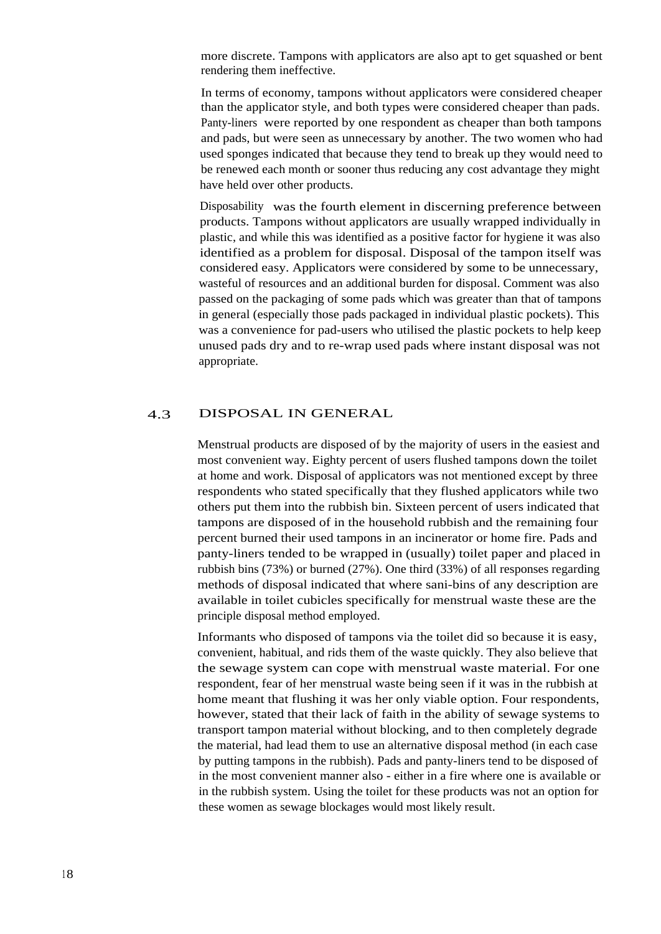more discrete. Tampons with applicators are also apt to get squashed or bent rendering them ineffective.

In terms of economy, tampons without applicators were considered cheaper than the applicator style, and both types were considered cheaper than pads. Panty-liners were reported by one respondent as cheaper than both tampons and pads, but were seen as unnecessary by another. The two women who had used sponges indicated that because they tend to break up they would need to be renewed each month or sooner thus reducing any cost advantage they might have held over other products.

Disposability was the fourth element in discerning preference between products. Tampons without applicators are usually wrapped individually in plastic, and while this was identified as a positive factor for hygiene it was also identified as a problem for disposal. Disposal of the tampon itself was considered easy. Applicators were considered by some to be unnecessary, wasteful of resources and an additional burden for disposal. Comment was also passed on the packaging of some pads which was greater than that of tampons in general (especially those pads packaged in individual plastic pockets). This was a convenience for pad-users who utilised the plastic pockets to help keep unused pads dry and to re-wrap used pads where instant disposal was not appropriate.

#### 4.3 DISPOSAL IN GENERAL

Menstrual products are disposed of by the majority of users in the easiest and most convenient way. Eighty percent of users flushed tampons down the toilet at home and work. Disposal of applicators was not mentioned except by three respondents who stated specifically that they flushed applicators while two others put them into the rubbish bin. Sixteen percent of users indicated that tampons are disposed of in the household rubbish and the remaining four percent burned their used tampons in an incinerator or home fire. Pads and panty-liners tended to be wrapped in (usually) toilet paper and placed in rubbish bins (73%) or burned (27%). One third (33%) of all responses regarding methods of disposal indicated that where sani-bins of any description are available in toilet cubicles specifically for menstrual waste these are the principle disposal method employed.

Informants who disposed of tampons via the toilet did so because it is easy, convenient, habitual, and rids them of the waste quickly. They also believe that the sewage system can cope with menstrual waste material. For one respondent, fear of her menstrual waste being seen if it was in the rubbish at home meant that flushing it was her only viable option. Four respondents, however, stated that their lack of faith in the ability of sewage systems to transport tampon material without blocking, and to then completely degrade the material, had lead them to use an alternative disposal method (in each case by putting tampons in the rubbish). Pads and panty-liners tend to be disposed of in the most convenient manner also - either in a fire where one is available or in the rubbish system. Using the toilet for these products was not an option for these women as sewage blockages would most likely result.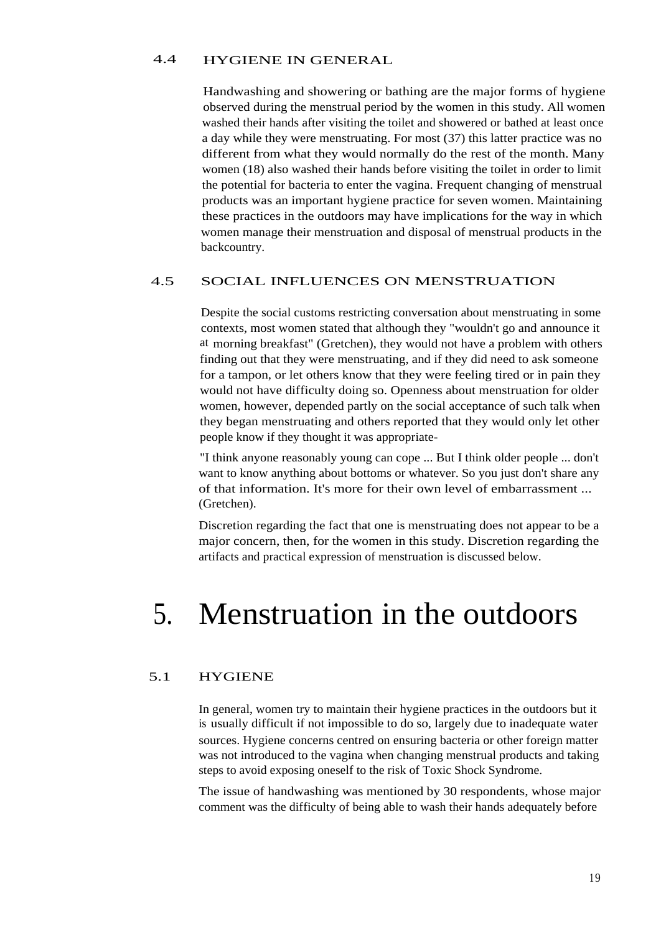#### 4.4 HYGIENE IN GENERAL

Handwashing and showering or bathing are the major forms of hygiene observed during the menstrual period by the women in this study. All women washed their hands after visiting the toilet and showered or bathed at least once a day while they were menstruating. For most (37) this latter practice was no different from what they would normally do the rest of the month. Many women (18) also washed their hands before visiting the toilet in order to limit the potential for bacteria to enter the vagina. Frequent changing of menstrual products was an important hygiene practice for seven women. Maintaining these practices in the outdoors may have implications for the way in which women manage their menstruation and disposal of menstrual products in the backcountry.

#### 4.5 SOCIAL INFLUENCES ON MENSTRUATION

Despite the social customs restricting conversation about menstruating in some contexts, most women stated that although they "wouldn't go and announce it at morning breakfast" (Gretchen), they would not have a problem with others finding out that they were menstruating, and if they did need to ask someone for a tampon, or let others know that they were feeling tired or in pain they would not have difficulty doing so. Openness about menstruation for older women, however, depended partly on the social acceptance of such talk when they began menstruating and others reported that they would only let other people know if they thought it was appropriate-

"I think anyone reasonably young can cope ... But I think older people ... don't want to know anything about bottoms or whatever. So you just don't share any of that information. It's more for their own level of embarrassment ... (Gretchen).

Discretion regarding the fact that one is menstruating does not appear to be a major concern, then, for the women in this study. Discretion regarding the artifacts and practical expression of menstruation is discussed below.

# 5. Menstruation in the outdoors

#### 5.1 HYGIENE

In general, women try to maintain their hygiene practices in the outdoors but it is usually difficult if not impossible to do so, largely due to inadequate water sources. Hygiene concerns centred on ensuring bacteria or other foreign matter was not introduced to the vagina when changing menstrual products and taking steps to avoid exposing oneself to the risk of Toxic Shock Syndrome.

The issue of handwashing was mentioned by 30 respondents, whose major comment was the difficulty of being able to wash their hands adequately before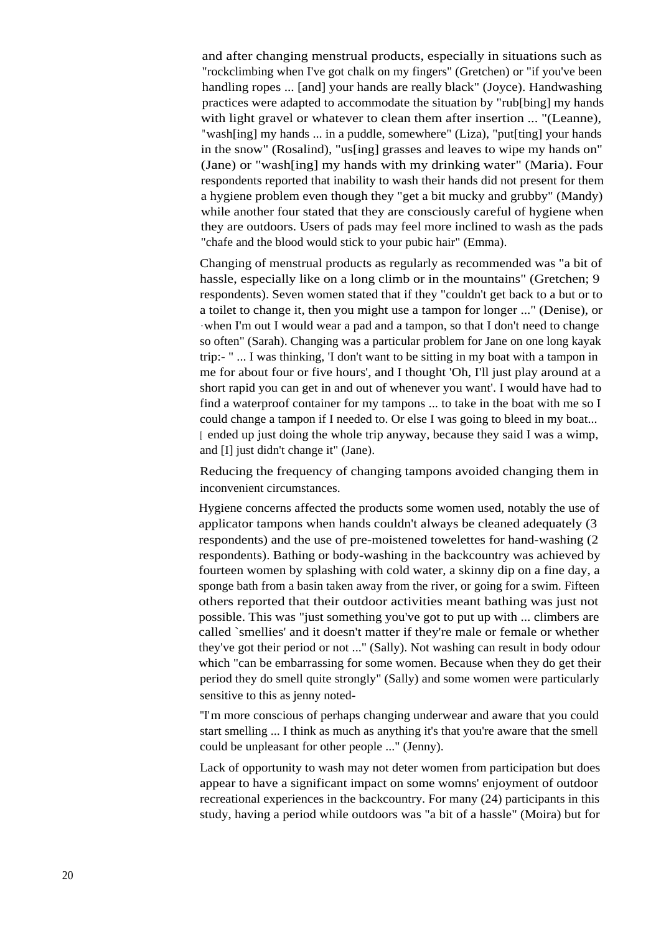and after changing menstrual products, especially in situations such as "rockclimbing when I've got chalk on my fingers" (Gretchen) or "if you've been handling ropes ... [and] your hands are really black" (Joyce). Handwashing practices were adapted to accommodate the situation by "rub[bing] my hands with light gravel or whatever to clean them after insertion ... "(Leanne), "wash[ing] my hands ... in a puddle, somewhere" (Liza), "put[ting] your hands in the snow" (Rosalind), "us[ing] grasses and leaves to wipe my hands on" (Jane) or "wash[ing] my hands with my drinking water" (Maria). Four respondents reported that inability to wash their hands did not present for them a hygiene problem even though they "get a bit mucky and grubby" (Mandy) while another four stated that they are consciously careful of hygiene when they are outdoors. Users of pads may feel more inclined to wash as the pads "chafe and the blood would stick to your pubic hair" (Emma).

Changing of menstrual products as regularly as recommended was "a bit of hassle, especially like on a long climb or in the mountains" (Gretchen; 9 respondents). Seven women stated that if they "couldn't get back to a but or to a toilet to change it, then you might use a tampon for longer ..." (Denise), or .when I'm out I would wear a pad and a tampon, so that I don't need to change so often" (Sarah). Changing was a particular problem for Jane on one long kayak trip:- " ... I was thinking, 'I don't want to be sitting in my boat with a tampon in me for about four or five hours', and I thought 'Oh, I'll just play around at a short rapid you can get in and out of whenever you want'. I would have had to find a waterproof container for my tampons ... to take in the boat with me so I could change a tampon if I needed to. Or else I was going to bleed in my boat... <sup>I</sup> ended up just doing the whole trip anyway, because they said I was a wimp, and [I] just didn't change it" (Jane).

Reducing the frequency of changing tampons avoided changing them in inconvenient circumstances.

Hygiene concerns affected the products some women used, notably the use of applicator tampons when hands couldn't always be cleaned adequately (3 respondents) and the use of pre-moistened towelettes for hand-washing (2 respondents). Bathing or body-washing in the backcountry was achieved by fourteen women by splashing with cold water, a skinny dip on a fine day, a sponge bath from a basin taken away from the river, or going for a swim. Fifteen others reported that their outdoor activities meant bathing was just not possible. This was "just something you've got to put up with ... climbers are called `smellies' and it doesn't matter if they're male or female or whether they've got their period or not ..." (Sally). Not washing can result in body odour which "can be embarrassing for some women. Because when they do get their period they do smell quite strongly" (Sally) and some women were particularly sensitive to this as jenny noted-

"I'm more conscious of perhaps changing underwear and aware that you could start smelling ... I think as much as anything it's that you're aware that the smell could be unpleasant for other people ..." (Jenny).

Lack of opportunity to wash may not deter women from participation but does appear to have a significant impact on some womns' enjoyment of outdoor recreational experiences in the backcountry. For many (24) participants in this study, having a period while outdoors was "a bit of a hassle" (Moira) but for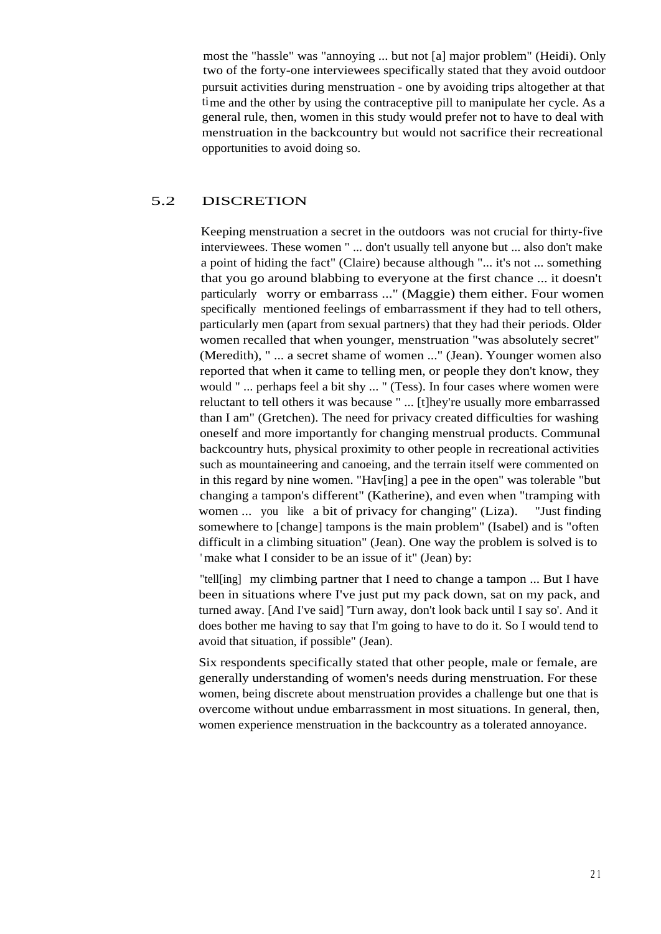most the "hassle" was "annoying ... but not [a] major problem" (Heidi). Only two of the forty-one interviewees specifically stated that they avoid outdoor pursuit activities during menstruation - one by avoiding trips altogether at that time and the other by using the contraceptive pill to manipulate her cycle. As a general rule, then, women in this study would prefer not to have to deal with menstruation in the backcountry but would not sacrifice their recreational opportunities to avoid doing so.

#### 5.2 DISCRETION

Keeping menstruation a secret in the outdoors was not crucial for thirty-five interviewees. These women " ... don't usually tell anyone but ... also don't make a point of hiding the fact" (Claire) because although "... it's not ... something that you go around blabbing to everyone at the first chance ... it doesn't particularly worry or embarrass ..." (Maggie) them either. Four women specifically mentioned feelings of embarrassment if they had to tell others, particularly men (apart from sexual partners) that they had their periods. Older women recalled that when younger, menstruation "was absolutely secret" (Meredith), " ... a secret shame of women ..." (Jean). Younger women also reported that when it came to telling men, or people they don't know, they would " ... perhaps feel a bit shy ... " (Tess). In four cases where women were reluctant to tell others it was because " ... [t]hey're usually more embarrassed than I am" (Gretchen). The need for privacy created difficulties for washing oneself and more importantly for changing menstrual products. Communal backcountry huts, physical proximity to other people in recreational activities such as mountaineering and canoeing, and the terrain itself were commented on in this regard by nine women. "Hav[ing] a pee in the open" was tolerable "but changing a tampon's different" (Katherine), and even when "tramping with women ... you like a bit of privacy for changing" (Liza). "Just finding somewhere to [change] tampons is the main problem" (Isabel) and is "often difficult in a climbing situation" (Jean). One way the problem is solved is to " make what I consider to be an issue of it" (Jean) by:

"tell[ing] my climbing partner that I need to change a tampon ... But I have been in situations where I've just put my pack down, sat on my pack, and turned away. [And I've said] 'Turn away, don't look back until I say so'. And it does bother me having to say that I'm going to have to do it. So I would tend to avoid that situation, if possible" (Jean).

Six respondents specifically stated that other people, male or female, are generally understanding of women's needs during menstruation. For these women, being discrete about menstruation provides a challenge but one that is overcome without undue embarrassment in most situations. In general, then, women experience menstruation in the backcountry as a tolerated annoyance.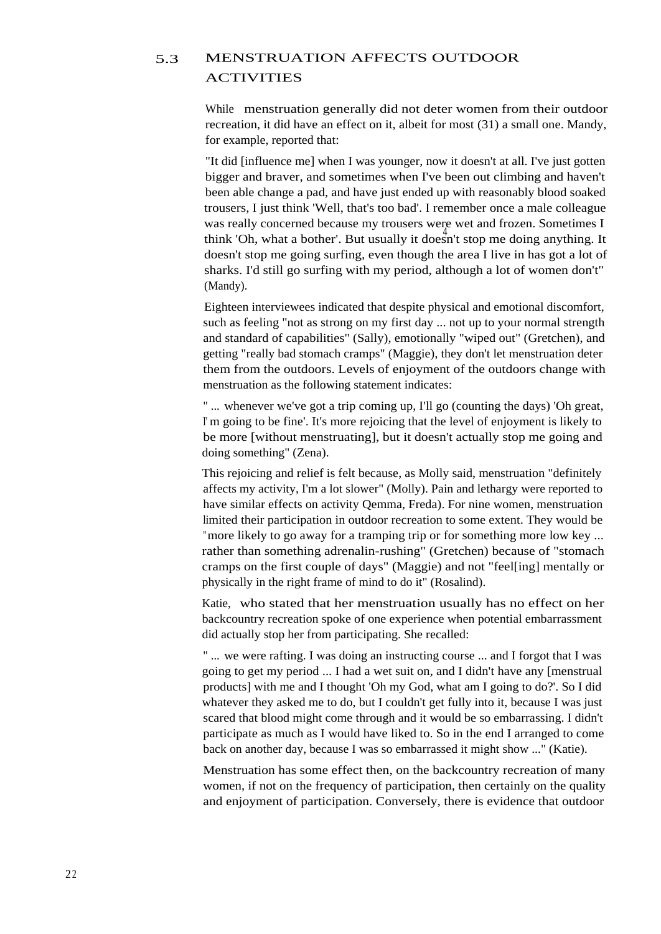### 5.3 MENSTRUATION AFFECTS OUTDOOR ACTIVITIES

While menstruation generally did not deter women from their outdoor recreation, it did have an effect on it, albeit for most (31) a small one. Mandy, for example, reported that:

"It did [influence me] when I was younger, now it doesn't at all. I've just gotten bigger and braver, and sometimes when I've been out climbing and haven't been able change a pad, and have just ended up with reasonably blood soaked trousers, I just think 'Well, that's too bad'. I remember once a male colleague was really concerned because my trousers were wet and frozen. Sometimes I <sup>4</sup> think 'Oh, what a bother'. But usually it doesn't stop me doing anything. It doesn't stop me going surfing, even though the area I live in has got a lot of sharks. I'd still go surfing with my period, although a lot of women don't" (Mandy).

Eighteen interviewees indicated that despite physical and emotional discomfort, such as feeling "not as strong on my first day ... not up to your normal strength and standard of capabilities" (Sally), emotionally "wiped out" (Gretchen), and getting "really bad stomach cramps" (Maggie), they don't let menstruation deter them from the outdoors. Levels of enjoyment of the outdoors change with menstruation as the following statement indicates:

" ... whenever we've got a trip coming up, I'll go (counting the days) 'Oh great, <sup>I</sup>' m going to be fine'. It's more rejoicing that the level of enjoyment is likely to be more [without menstruating], but it doesn't actually stop me going and doing something" (Zena).

This rejoicing and relief is felt because, as Molly said, menstruation "definitely affects my activity, I'm a lot slower" (Molly). Pain and lethargy were reported to have similar effects on activity Qemma, Freda). For nine women, menstruation limited their participation in outdoor recreation to some extent. They would be "more likely to go away for a tramping trip or for something more low key ... rather than something adrenalin-rushing" (Gretchen) because of "stomach cramps on the first couple of days" (Maggie) and not "feel[ing] mentally or physically in the right frame of mind to do it" (Rosalind).

Katie, who stated that her menstruation usually has no effect on her backcountry recreation spoke of one experience when potential embarrassment did actually stop her from participating. She recalled:

" ... we were rafting. I was doing an instructing course ... and I forgot that I was going to get my period ... I had a wet suit on, and I didn't have any [menstrual products] with me and I thought 'Oh my God, what am I going to do?'. So I did whatever they asked me to do, but I couldn't get fully into it, because I was just scared that blood might come through and it would be so embarrassing. I didn't participate as much as I would have liked to. So in the end I arranged to come back on another day, because I was so embarrassed it might show ..." (Katie).

Menstruation has some effect then, on the backcountry recreation of many women, if not on the frequency of participation, then certainly on the quality and enjoyment of participation. Conversely, there is evidence that outdoor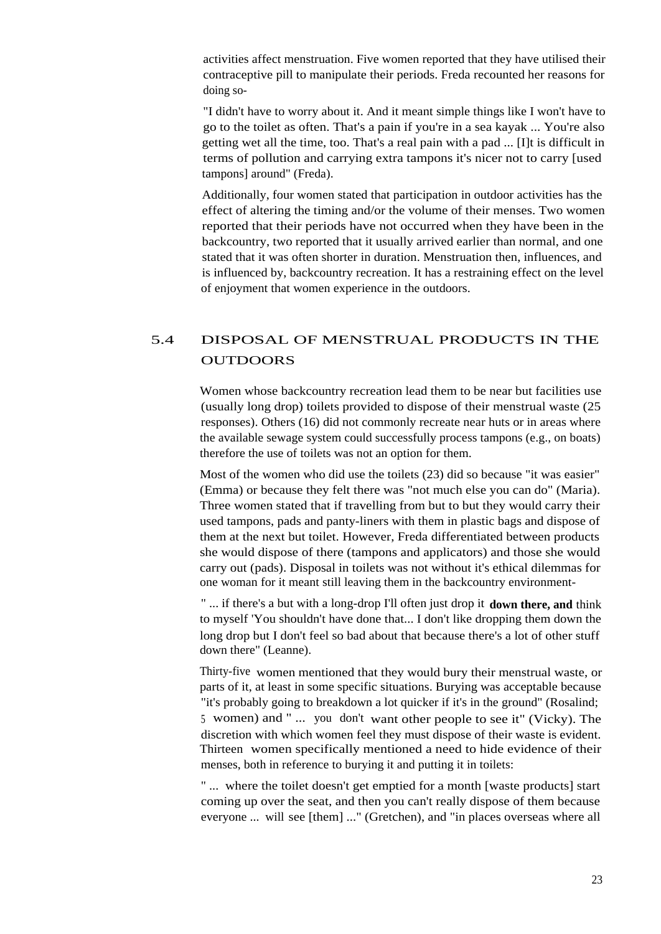activities affect menstruation. Five women reported that they have utilised their contraceptive pill to manipulate their periods. Freda recounted her reasons for doing so-

"I didn't have to worry about it. And it meant simple things like I won't have to go to the toilet as often. That's a pain if you're in a sea kayak ... You're also getting wet all the time, too. That's a real pain with a pad ... [I]t is difficult in terms of pollution and carrying extra tampons it's nicer not to carry [used tampons] around" (Freda).

Additionally, four women stated that participation in outdoor activities has the effect of altering the timing and/or the volume of their menses. Two women reported that their periods have not occurred when they have been in the backcountry, two reported that it usually arrived earlier than normal, and one stated that it was often shorter in duration. Menstruation then, influences, and is influenced by, backcountry recreation. It has a restraining effect on the level of enjoyment that women experience in the outdoors.

### 5.4 DISPOSAL OF MENSTRUAL PRODUCTS IN THE **OUTDOORS**

Women whose backcountry recreation lead them to be near but facilities use (usually long drop) toilets provided to dispose of their menstrual waste (25 responses). Others (16) did not commonly recreate near huts or in areas where the available sewage system could successfully process tampons (e.g., on boats) therefore the use of toilets was not an option for them.

Most of the women who did use the toilets (23) did so because "it was easier" (Emma) or because they felt there was "not much else you can do" (Maria). Three women stated that if travelling from but to but they would carry their used tampons, pads and panty-liners with them in plastic bags and dispose of them at the next but toilet. However, Freda differentiated between products she would dispose of there (tampons and applicators) and those she would carry out (pads). Disposal in toilets was not without it's ethical dilemmas for one woman for it meant still leaving them in the backcountry environment-

" ... if there's a but with a long-drop I'll often just drop it **down there, and** think to myself 'You shouldn't have done that... I don't like dropping them down the long drop but I don't feel so bad about that because there's a lot of other stuff down there" (Leanne).

Thirty-five women mentioned that they would bury their menstrual waste, or parts of it, at least in some specific situations. Burying was acceptable because "it's probably going to breakdown a lot quicker if it's in the ground" (Rosalind; <sup>5</sup> women) and " ... you don't want other people to see it" (Vicky). The discretion with which women feel they must dispose of their waste is evident. Thirteen women specifically mentioned a need to hide evidence of their menses, both in reference to burying it and putting it in toilets:

" ... where the toilet doesn't get emptied for a month [waste products] start coming up over the seat, and then you can't really dispose of them because everyone ... will see [them] ..." (Gretchen), and "in places overseas where all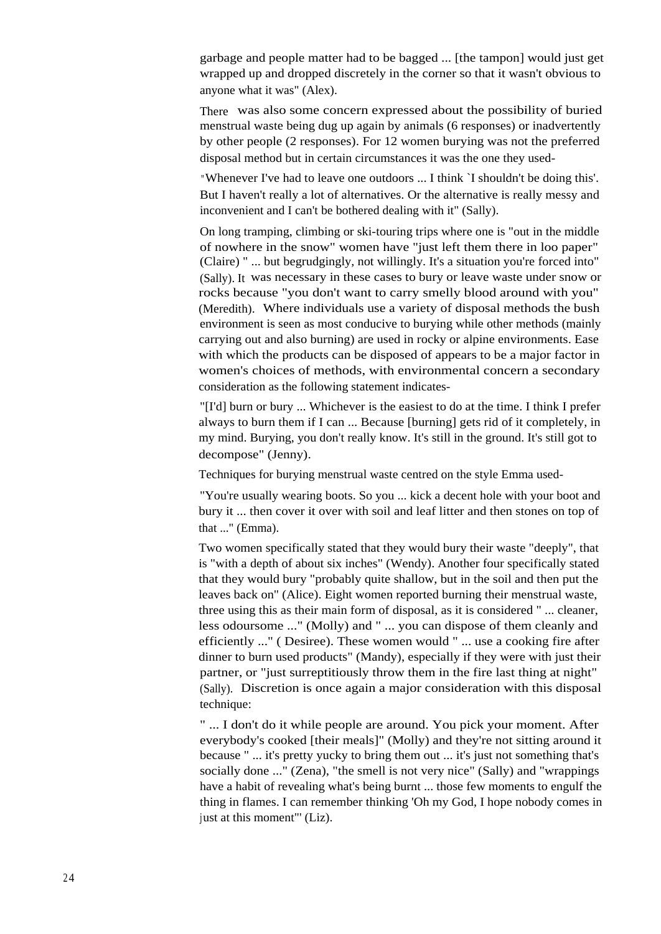garbage and people matter had to be bagged ... [the tampon] would just get wrapped up and dropped discretely in the corner so that it wasn't obvious to anyone what it was" (Alex).

There was also some concern expressed about the possibility of buried menstrual waste being dug up again by animals (6 responses) or inadvertently by other people (2 responses). For 12 women burying was not the preferred disposal method but in certain circumstances it was the one they used-

"Whenever I've had to leave one outdoors ... I think `I shouldn't be doing this'. But I haven't really a lot of alternatives. Or the alternative is really messy and inconvenient and I can't be bothered dealing with it" (Sally).

On long tramping, climbing or ski-touring trips where one is "out in the middle of nowhere in the snow" women have "just left them there in loo paper" (Claire) " ... but begrudgingly, not willingly. It's a situation you're forced into" (Sally). It was necessary in these cases to bury or leave waste under snow or rocks because "you don't want to carry smelly blood around with you" (Meredith). Where individuals use a variety of disposal methods the bush environment is seen as most conducive to burying while other methods (mainly carrying out and also burning) are used in rocky or alpine environments. Ease with which the products can be disposed of appears to be a major factor in women's choices of methods, with environmental concern a secondary consideration as the following statement indicates-

"[I'd] burn or bury ... Whichever is the easiest to do at the time. I think I prefer always to burn them if I can ... Because [burning] gets rid of it completely, in my mind. Burying, you don't really know. It's still in the ground. It's still got to decompose" (Jenny).

Techniques for burying menstrual waste centred on the style Emma used-

"You're usually wearing boots. So you ... kick a decent hole with your boot and bury it ... then cover it over with soil and leaf litter and then stones on top of that ..." (Emma).

Two women specifically stated that they would bury their waste "deeply", that is "with a depth of about six inches" (Wendy). Another four specifically stated that they would bury "probably quite shallow, but in the soil and then put the leaves back on" (Alice). Eight women reported burning their menstrual waste, three using this as their main form of disposal, as it is considered " ... cleaner, less odoursome ..." (Molly) and " ... you can dispose of them cleanly and efficiently ..." ( Desiree). These women would " ... use a cooking fire after dinner to burn used products" (Mandy), especially if they were with just their partner, or "just surreptitiously throw them in the fire last thing at night" (Sally). Discretion is once again a major consideration with this disposal technique:

" ... I don't do it while people are around. You pick your moment. After everybody's cooked [their meals]" (Molly) and they're not sitting around it because " ... it's pretty yucky to bring them out ... it's just not something that's socially done ..." (Zena), "the smell is not very nice" (Sally) and "wrappings have a habit of revealing what's being burnt ... those few moments to engulf the thing in flames. I can remember thinking 'Oh my God, I hope nobody comes in just at this moment"' (Liz).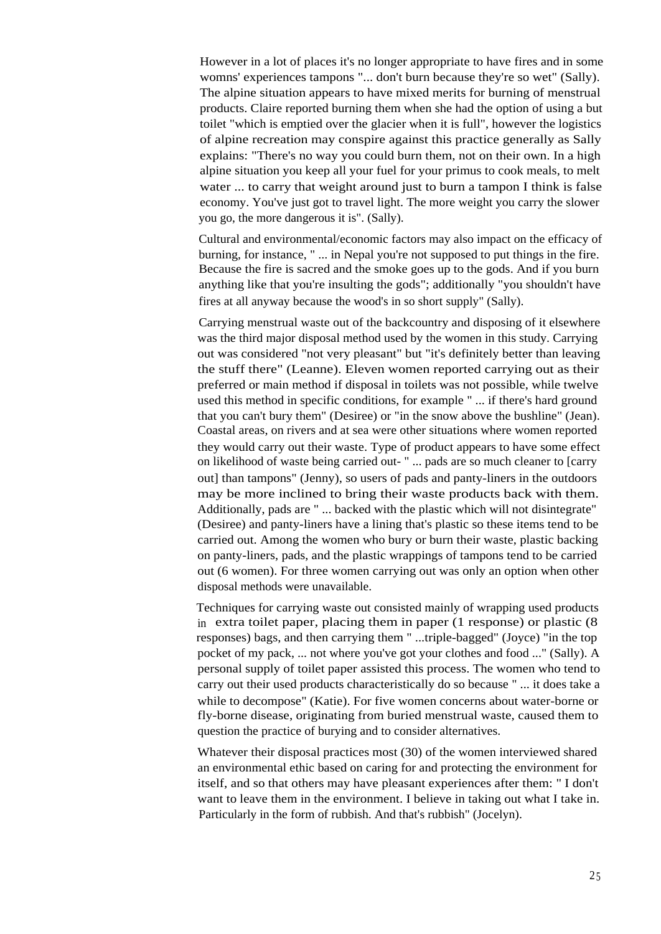However in a lot of places it's no longer appropriate to have fires and in some womns' experiences tampons "... don't burn because they're so wet" (Sally). The alpine situation appears to have mixed merits for burning of menstrual products. Claire reported burning them when she had the option of using a but toilet "which is emptied over the glacier when it is full", however the logistics of alpine recreation may conspire against this practice generally as Sally explains: "There's no way you could burn them, not on their own. In a high alpine situation you keep all your fuel for your primus to cook meals, to melt water ... to carry that weight around just to burn a tampon I think is false economy. You've just got to travel light. The more weight you carry the slower you go, the more dangerous it is". (Sally).

Cultural and environmental/economic factors may also impact on the efficacy of burning, for instance, " ... in Nepal you're not supposed to put things in the fire. Because the fire is sacred and the smoke goes up to the gods. And if you burn anything like that you're insulting the gods"; additionally "you shouldn't have fires at all anyway because the wood's in so short supply" (Sally).

Carrying menstrual waste out of the backcountry and disposing of it elsewhere was the third major disposal method used by the women in this study. Carrying out was considered "not very pleasant" but "it's definitely better than leaving the stuff there" (Leanne). Eleven women reported carrying out as their preferred or main method if disposal in toilets was not possible, while twelve used this method in specific conditions, for example " ... if there's hard ground that you can't bury them" (Desiree) or "in the snow above the bushline" (Jean). Coastal areas, on rivers and at sea were other situations where women reported they would carry out their waste. Type of product appears to have some effect on likelihood of waste being carried out- " ... pads are so much cleaner to [carry out] than tampons" (Jenny), so users of pads and panty-liners in the outdoors may be more inclined to bring their waste products back with them. Additionally, pads are " ... backed with the plastic which will not disintegrate" (Desiree) and panty-liners have a lining that's plastic so these items tend to be carried out. Among the women who bury or burn their waste, plastic backing on panty-liners, pads, and the plastic wrappings of tampons tend to be carried out (6 women). For three women carrying out was only an option when other disposal methods were unavailable.

Techniques for carrying waste out consisted mainly of wrapping used products in extra toilet paper, placing them in paper (1 response) or plastic (8 responses) bags, and then carrying them " ...triple-bagged" (Joyce) "in the top pocket of my pack, ... not where you've got your clothes and food ..." (Sally). A personal supply of toilet paper assisted this process. The women who tend to carry out their used products characteristically do so because " ... it does take a while to decompose" (Katie). For five women concerns about water-borne or fly-borne disease, originating from buried menstrual waste, caused them to question the practice of burying and to consider alternatives.

Whatever their disposal practices most (30) of the women interviewed shared an environmental ethic based on caring for and protecting the environment for itself, and so that others may have pleasant experiences after them: " I don't want to leave them in the environment. I believe in taking out what I take in. Particularly in the form of rubbish. And that's rubbish" (Jocelyn).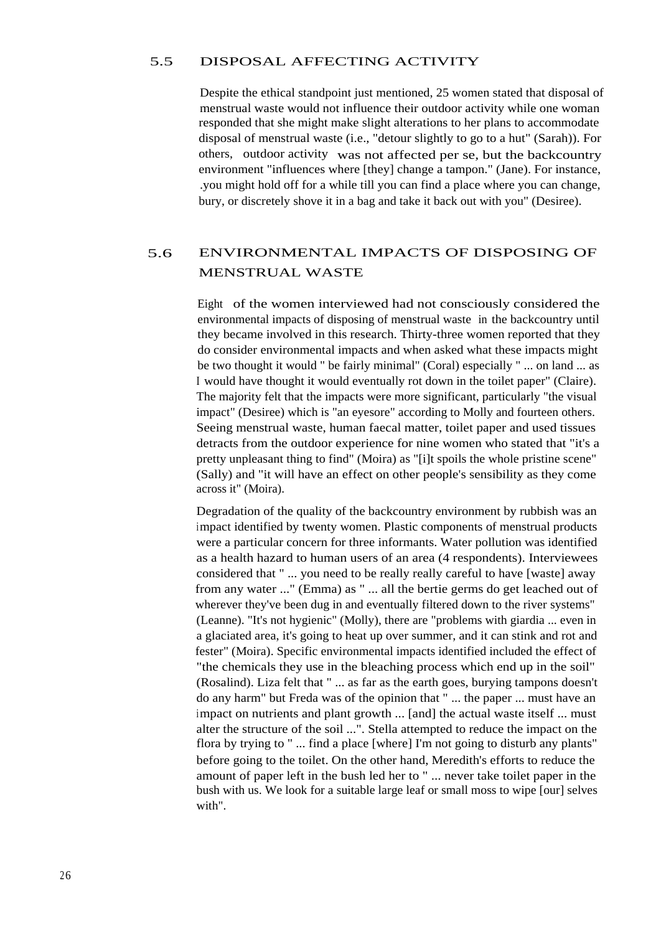#### 5.5 DISPOSAL AFFECTING ACTIVITY

Despite the ethical standpoint just mentioned, 25 women stated that disposal of menstrual waste would not influence their outdoor activity while one woman responded that she might make slight alterations to her plans to accommodate disposal of menstrual waste (i.e., "detour slightly to go to a hut" (Sarah)). For others, outdoor activity was not affected per se, but the backcountry environment "influences where [they] change a tampon." (Jane). For instance, .you might hold off for a while till you can find a place where you can change, bury, or discretely shove it in a bag and take it back out with you" (Desiree).

### 5.6 ENVIRONMENTAL IMPACTS OF DISPOSING OF MENSTRUAL WASTE

Eight of the women interviewed had not consciously considered the environmental impacts of disposing of menstrual waste in the backcountry until they became involved in this research. Thirty-three women reported that they do consider environmental impacts and when asked what these impacts might be two thought it would " be fairly minimal" (Coral) especially " ... on land ... as I would have thought it would eventually rot down in the toilet paper" (Claire). The majority felt that the impacts were more significant, particularly "the visual impact" (Desiree) which is "an eyesore" according to Molly and fourteen others. Seeing menstrual waste, human faecal matter, toilet paper and used tissues detracts from the outdoor experience for nine women who stated that "it's a pretty unpleasant thing to find" (Moira) as "[i]t spoils the whole pristine scene" (Sally) and "it will have an effect on other people's sensibility as they come across it" (Moira).

Degradation of the quality of the backcountry environment by rubbish was an impact identified by twenty women. Plastic components of menstrual products were a particular concern for three informants. Water pollution was identified as a health hazard to human users of an area (4 respondents). Interviewees considered that " ... you need to be really really careful to have [waste] away from any water ..." (Emma) as " ... all the bertie germs do get leached out of wherever they've been dug in and eventually filtered down to the river systems" (Leanne). "It's not hygienic" (Molly), there are "problems with giardia ... even in a glaciated area, it's going to heat up over summer, and it can stink and rot and fester" (Moira). Specific environmental impacts identified included the effect of "the chemicals they use in the bleaching process which end up in the soil" (Rosalind). Liza felt that " ... as far as the earth goes, burying tampons doesn't do any harm" but Freda was of the opinion that " ... the paper ... must have an impact on nutrients and plant growth ... [and] the actual waste itself ... must alter the structure of the soil ...". Stella attempted to reduce the impact on the flora by trying to " ... find a place [where] I'm not going to disturb any plants" before going to the toilet. On the other hand, Meredith's efforts to reduce the amount of paper left in the bush led her to " ... never take toilet paper in the bush with us. We look for a suitable large leaf or small moss to wipe [our] selves with".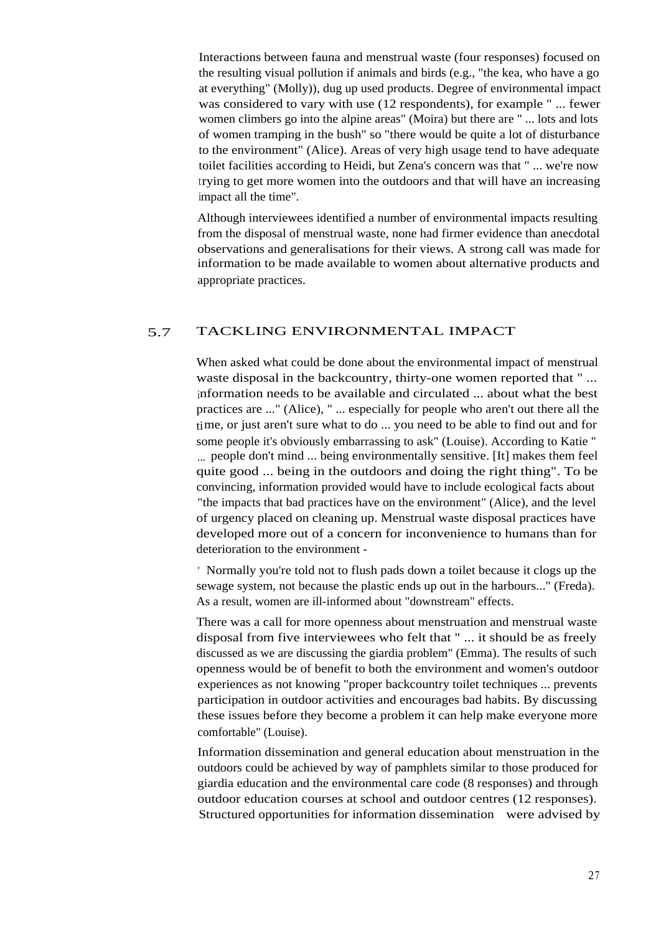Interactions between fauna and menstrual waste (four responses) focused on the resulting visual pollution if animals and birds (e.g., "the kea, who have a go at everything" (Molly)), dug up used products. Degree of environmental impact was considered to vary with use (12 respondents), for example " ... fewer women climbers go into the alpine areas" (Moira) but there are " ... lots and lots of women tramping in the bush" so "there would be quite a lot of disturbance to the environment" (Alice). Areas of very high usage tend to have adequate toilet facilities according to Heidi, but Zena's concern was that " ... we're now trying to get more women into the outdoors and that will have an increasing impact all the time".

Although interviewees identified a number of environmental impacts resulting from the disposal of menstrual waste, none had firmer evidence than anecdotal observations and generalisations for their views. A strong call was made for information to be made available to women about alternative products and appropriate practices.

#### 5.7 TACKLING ENVIRONMENTAL IMPACT

When asked what could be done about the environmental impact of menstrual waste disposal in the backcountry, thirty-one women reported that "... information needs to be available and circulated ... about what the best practices are ..." (Alice), " ... especially for people who aren't out there all the time, or just aren't sure what to do ... you need to be able to find out and for some people it's obviously embarrassing to ask" (Louise). According to Katie " ... people don't mind ... being environmentally sensitive. [It] makes them feel quite good ... being in the outdoors and doing the right thing". To be convincing, information provided would have to include ecological facts about "the impacts that bad practices have on the environment" (Alice), and the level of urgency placed on cleaning up. Menstrual waste disposal practices have developed more out of a concern for inconvenience to humans than for deterioration to the environment -

" Normally you're told not to flush pads down a toilet because it clogs up the sewage system, not because the plastic ends up out in the harbours..." (Freda). As a result, women are ill-informed about "downstream" effects.

There was a call for more openness about menstruation and menstrual waste disposal from five interviewees who felt that " ... it should be as freely discussed as we are discussing the giardia problem" (Emma). The results of such openness would be of benefit to both the environment and women's outdoor experiences as not knowing "proper backcountry toilet techniques ... prevents participation in outdoor activities and encourages bad habits. By discussing these issues before they become a problem it can help make everyone more comfortable" (Louise).

Information dissemination and general education about menstruation in the outdoors could be achieved by way of pamphlets similar to those produced for giardia education and the environmental care code (8 responses) and through outdoor education courses at school and outdoor centres (12 responses). Structured opportunities for information dissemination were advised by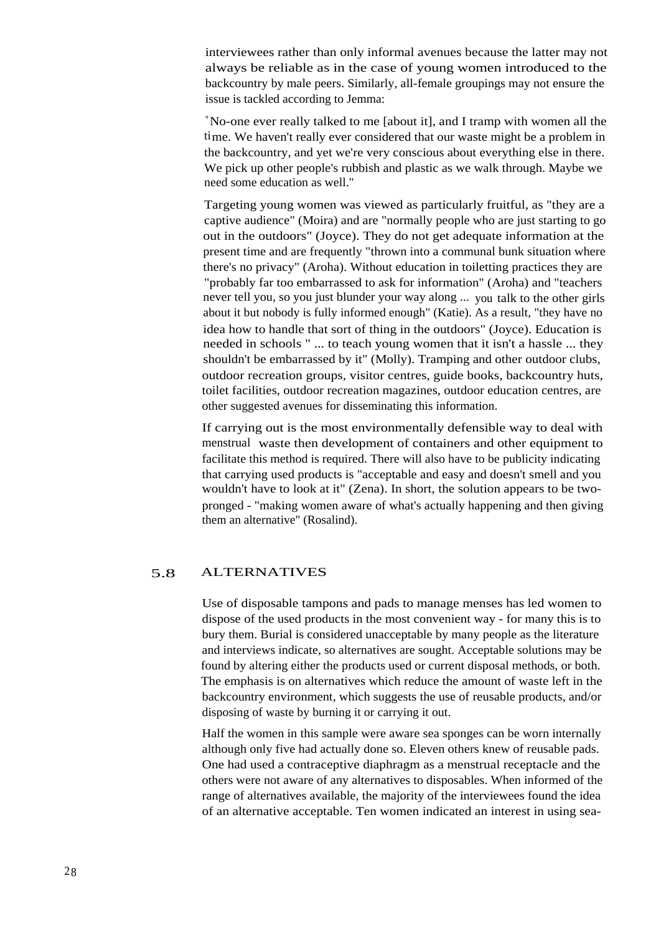interviewees rather than only informal avenues because the latter may not always be reliable as in the case of young women introduced to the backcountry by male peers. Similarly, all-female groupings may not ensure the issue is tackled according to Jemma:

"No-one ever really talked to me [about it], and I tramp with women all the time. We haven't really ever considered that our waste might be a problem in the backcountry, and yet we're very conscious about everything else in there. We pick up other people's rubbish and plastic as we walk through. Maybe we need some education as well."

Targeting young women was viewed as particularly fruitful, as "they are a captive audience" (Moira) and are "normally people who are just starting to go out in the outdoors" (Joyce). They do not get adequate information at the present time and are frequently "thrown into a communal bunk situation where there's no privacy" (Aroha). Without education in toiletting practices they are "probably far too embarrassed to ask for information" (Aroha) and "teachers never tell you, so you just blunder your way along ... you talk to the other girls about it but nobody is fully informed enough" (Katie). As a result, "they have no idea how to handle that sort of thing in the outdoors" (Joyce). Education is needed in schools " ... to teach young women that it isn't a hassle ... they shouldn't be embarrassed by it" (Molly). Tramping and other outdoor clubs, outdoor recreation groups, visitor centres, guide books, backcountry huts, toilet facilities, outdoor recreation magazines, outdoor education centres, are other suggested avenues for disseminating this information.

If carrying out is the most environmentally defensible way to deal with menstrual waste then development of containers and other equipment to facilitate this method is required. There will also have to be publicity indicating that carrying used products is "acceptable and easy and doesn't smell and you wouldn't have to look at it" (Zena). In short, the solution appears to be twopronged - "making women aware of what's actually happening and then giving them an alternative" (Rosalind).

#### 5.8 ALTERNATIVES

Use of disposable tampons and pads to manage menses has led women to dispose of the used products in the most convenient way - for many this is to bury them. Burial is considered unacceptable by many people as the literature and interviews indicate, so alternatives are sought. Acceptable solutions may be found by altering either the products used or current disposal methods, or both. The emphasis is on alternatives which reduce the amount of waste left in the backcountry environment, which suggests the use of reusable products, and/or disposing of waste by burning it or carrying it out.

Half the women in this sample were aware sea sponges can be worn internally although only five had actually done so. Eleven others knew of reusable pads. One had used a contraceptive diaphragm as a menstrual receptacle and the others were not aware of any alternatives to disposables. When informed of the range of alternatives available, the majority of the interviewees found the idea of an alternative acceptable. Ten women indicated an interest in using sea-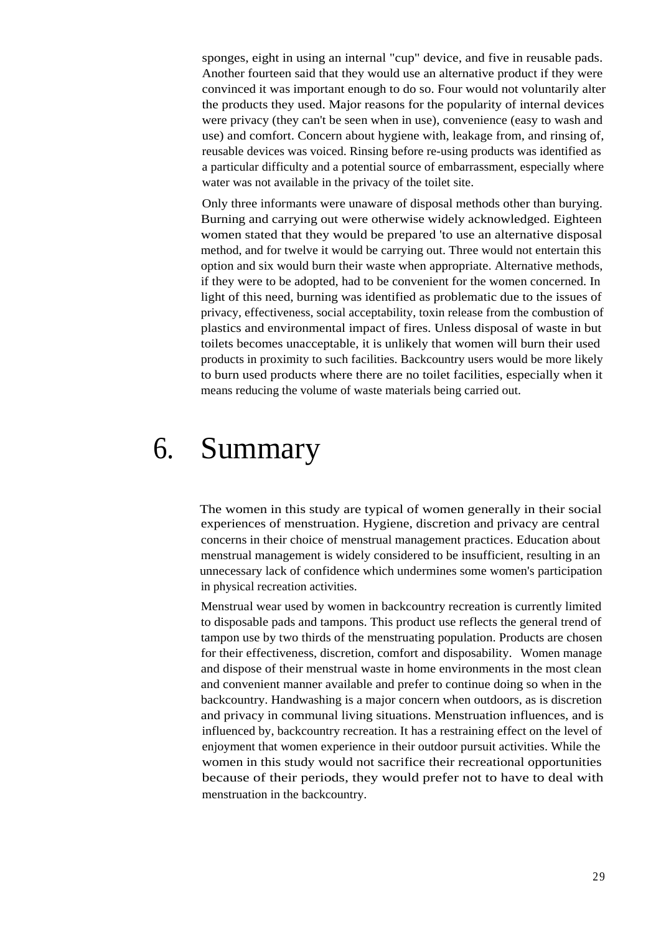sponges, eight in using an internal "cup" device, and five in reusable pads. Another fourteen said that they would use an alternative product if they were convinced it was important enough to do so. Four would not voluntarily alter the products they used. Major reasons for the popularity of internal devices were privacy (they can't be seen when in use), convenience (easy to wash and use) and comfort. Concern about hygiene with, leakage from, and rinsing of, reusable devices was voiced. Rinsing before re-using products was identified as a particular difficulty and a potential source of embarrassment, especially where water was not available in the privacy of the toilet site.

Only three informants were unaware of disposal methods other than burying. Burning and carrying out were otherwise widely acknowledged. Eighteen women stated that they would be prepared 'to use an alternative disposal method, and for twelve it would be carrying out. Three would not entertain this option and six would burn their waste when appropriate. Alternative methods, if they were to be adopted, had to be convenient for the women concerned. In light of this need, burning was identified as problematic due to the issues of privacy, effectiveness, social acceptability, toxin release from the combustion of plastics and environmental impact of fires. Unless disposal of waste in but toilets becomes unacceptable, it is unlikely that women will burn their used products in proximity to such facilities. Backcountry users would be more likely to burn used products where there are no toilet facilities, especially when it means reducing the volume of waste materials being carried out.

# 6. Summary

The women in this study are typical of women generally in their social experiences of menstruation. Hygiene, discretion and privacy are central concerns in their choice of menstrual management practices. Education about menstrual management is widely considered to be insufficient, resulting in an unnecessary lack of confidence which undermines some women's participation in physical recreation activities.

Menstrual wear used by women in backcountry recreation is currently limited to disposable pads and tampons. This product use reflects the general trend of tampon use by two thirds of the menstruating population. Products are chosen for their effectiveness, discretion, comfort and disposability. Women manage and dispose of their menstrual waste in home environments in the most clean and convenient manner available and prefer to continue doing so when in the backcountry. Handwashing is a major concern when outdoors, as is discretion and privacy in communal living situations. Menstruation influences, and is influenced by, backcountry recreation. It has a restraining effect on the level of enjoyment that women experience in their outdoor pursuit activities. While the women in this study would not sacrifice their recreational opportunities because of their periods, they would prefer not to have to deal with menstruation in the backcountry.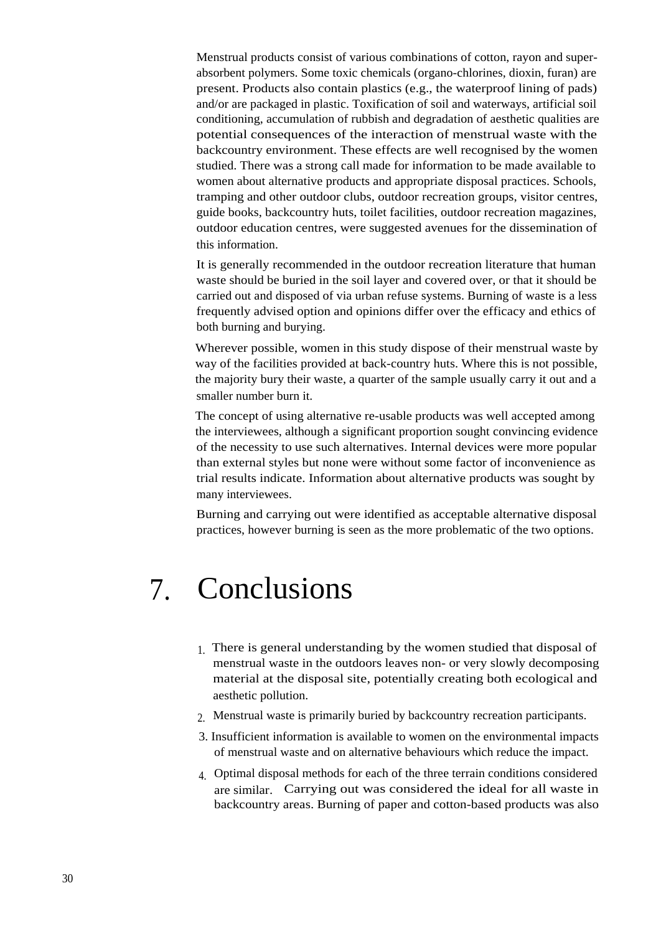Menstrual products consist of various combinations of cotton, rayon and superabsorbent polymers. Some toxic chemicals (organo-chlorines, dioxin, furan) are present. Products also contain plastics (e.g., the waterproof lining of pads) and/or are packaged in plastic. Toxification of soil and waterways, artificial soil conditioning, accumulation of rubbish and degradation of aesthetic qualities are potential consequences of the interaction of menstrual waste with the backcountry environment. These effects are well recognised by the women studied. There was a strong call made for information to be made available to women about alternative products and appropriate disposal practices. Schools, tramping and other outdoor clubs, outdoor recreation groups, visitor centres, guide books, backcountry huts, toilet facilities, outdoor recreation magazines, outdoor education centres, were suggested avenues for the dissemination of this information.

It is generally recommended in the outdoor recreation literature that human waste should be buried in the soil layer and covered over, or that it should be carried out and disposed of via urban refuse systems. Burning of waste is a less frequently advised option and opinions differ over the efficacy and ethics of both burning and burying.

Wherever possible, women in this study dispose of their menstrual waste by way of the facilities provided at back-country huts. Where this is not possible, the majority bury their waste, a quarter of the sample usually carry it out and a smaller number burn it.

The concept of using alternative re-usable products was well accepted among the interviewees, although a significant proportion sought convincing evidence of the necessity to use such alternatives. Internal devices were more popular than external styles but none were without some factor of inconvenience as trial results indicate. Information about alternative products was sought by many interviewees.

Burning and carrying out were identified as acceptable alternative disposal practices, however burning is seen as the more problematic of the two options.

## 7. Conclusions

- 1. There is general understanding by the women studied that disposal of menstrual waste in the outdoors leaves non- or very slowly decomposing material at the disposal site, potentially creating both ecological and aesthetic pollution.
- 2. Menstrual waste is primarily buried by backcountry recreation participants.
- 3. Insufficient information is available to women on the environmental impacts of menstrual waste and on alternative behaviours which reduce the impact.
- 4. Optimal disposal methods for each of the three terrain conditions considered are similar. Carrying out was considered the ideal for all waste in backcountry areas. Burning of paper and cotton-based products was also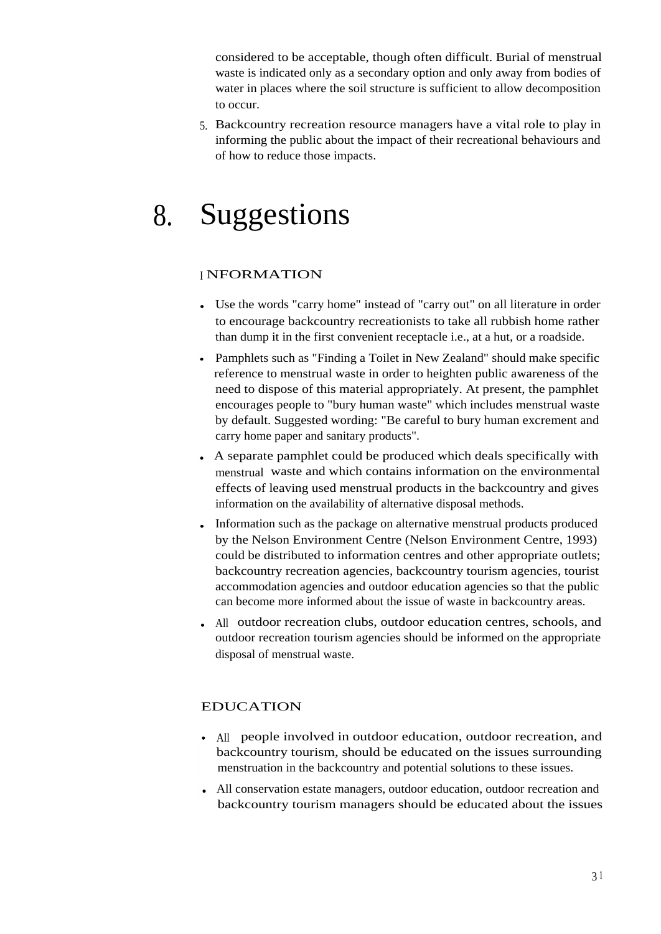considered to be acceptable, though often difficult. Burial of menstrual waste is indicated only as a secondary option and only away from bodies of water in places where the soil structure is sufficient to allow decomposition to occur.

5. Backcountry recreation resource managers have a vital role to play in informing the public about the impact of their recreational behaviours and of how to reduce those impacts.

# 8. Suggestions

#### <sup>I</sup> NFORMATION

- Use the words "carry home" instead of "carry out" on all literature in order to encourage backcountry recreationists to take all rubbish home rather than dump it in the first convenient receptacle i.e., at a hut, or a roadside.
- Pamphlets such as "Finding a Toilet in New Zealand" should make specific reference to menstrual waste in order to heighten public awareness of the need to dispose of this material appropriately. At present, the pamphlet encourages people to "bury human waste" which includes menstrual waste by default. Suggested wording: "Be careful to bury human excrement and carry home paper and sanitary products".
- A separate pamphlet could be produced which deals specifically with menstrual waste and which contains information on the environmental effects of leaving used menstrual products in the backcountry and gives information on the availability of alternative disposal methods.
- Information such as the package on alternative menstrual products produced by the Nelson Environment Centre (Nelson Environment Centre, 1993) could be distributed to information centres and other appropriate outlets; backcountry recreation agencies, backcountry tourism agencies, tourist accommodation agencies and outdoor education agencies so that the public can become more informed about the issue of waste in backcountry areas.
- All outdoor recreation clubs, outdoor education centres, schools, and outdoor recreation tourism agencies should be informed on the appropriate disposal of menstrual waste.

#### EDUCATION

- All people involved in outdoor education, outdoor recreation, and backcountry tourism, should be educated on the issues surrounding menstruation in the backcountry and potential solutions to these issues.
- All conservation estate managers, outdoor education, outdoor recreation and backcountry tourism managers should be educated about the issues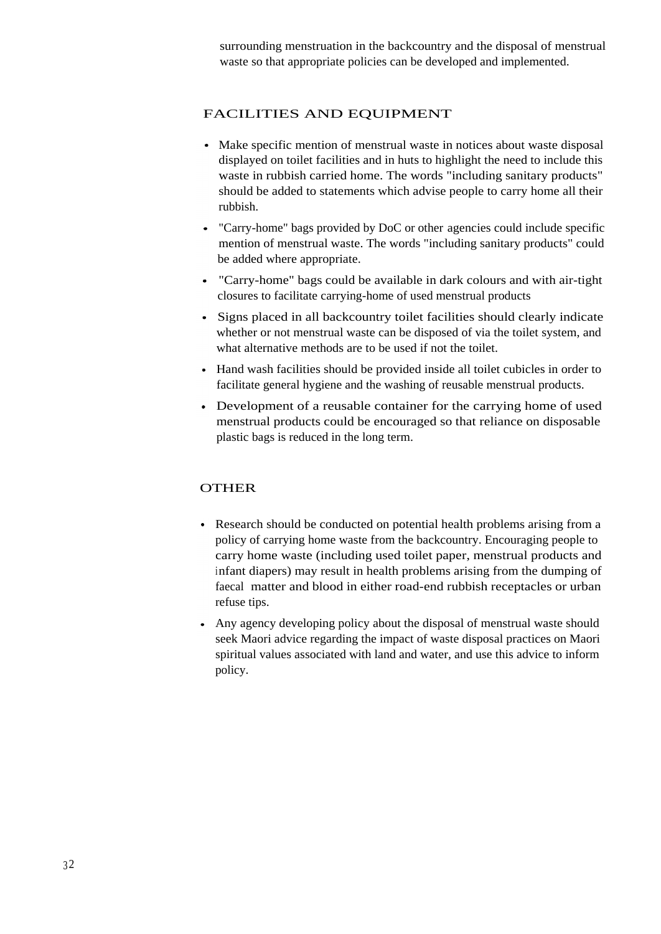surrounding menstruation in the backcountry and the disposal of menstrual waste so that appropriate policies can be developed and implemented.

#### FACILITIES AND EQUIPMENT

- Make specific mention of menstrual waste in notices about waste disposal displayed on toilet facilities and in huts to highlight the need to include this waste in rubbish carried home. The words "including sanitary products" should be added to statements which advise people to carry home all their rubbish.
- "Carry-home" bags provided by DoC or other agencies could include specific mention of menstrual waste. The words "including sanitary products" could be added where appropriate.
- "Carry-home" bags could be available in dark colours and with air-tight closures to facilitate carrying-home of used menstrual products
- Signs placed in all backcountry toilet facilities should clearly indicate whether or not menstrual waste can be disposed of via the toilet system, and what alternative methods are to be used if not the toilet.
- Hand wash facilities should be provided inside all toilet cubicles in order to facilitate general hygiene and the washing of reusable menstrual products.
- Development of a reusable container for the carrying home of used menstrual products could be encouraged so that reliance on disposable plastic bags is reduced in the long term.

#### OTHER

- Research should be conducted on potential health problems arising from a policy of carrying home waste from the backcountry. Encouraging people to carry home waste (including used toilet paper, menstrual products and infant diapers) may result in health problems arising from the dumping of faecal matter and blood in either road-end rubbish receptacles or urban refuse tips.
- Any agency developing policy about the disposal of menstrual waste should seek Maori advice regarding the impact of waste disposal practices on Maori spiritual values associated with land and water, and use this advice to inform policy.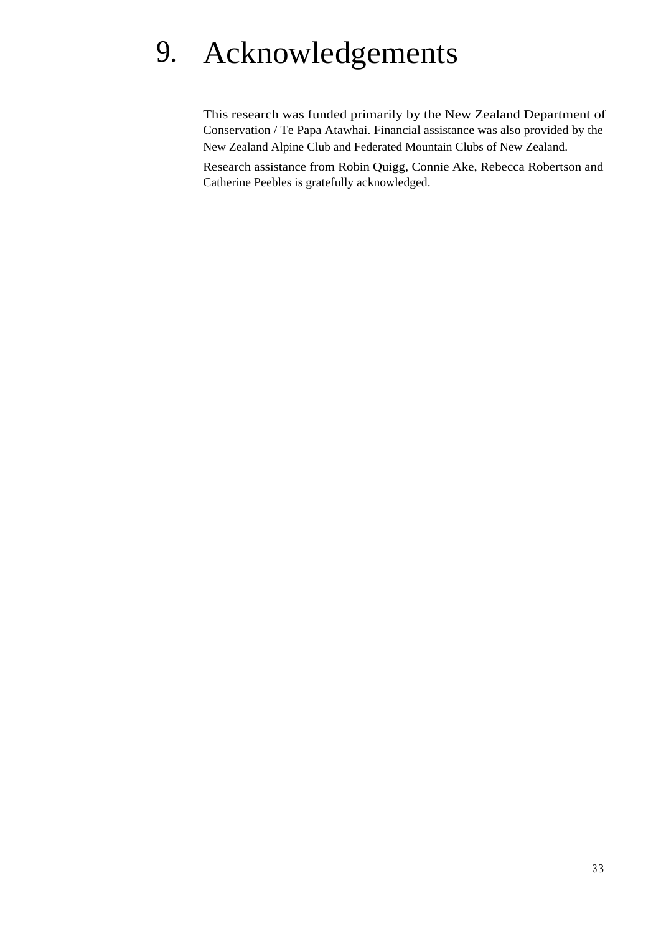# 9. Acknowledgements

This research was funded primarily by the New Zealand Department of Conservation / Te Papa Atawhai. Financial assistance was also provided by the New Zealand Alpine Club and Federated Mountain Clubs of New Zealand.

Research assistance from Robin Quigg, Connie Ake, Rebecca Robertson and Catherine Peebles is gratefully acknowledged.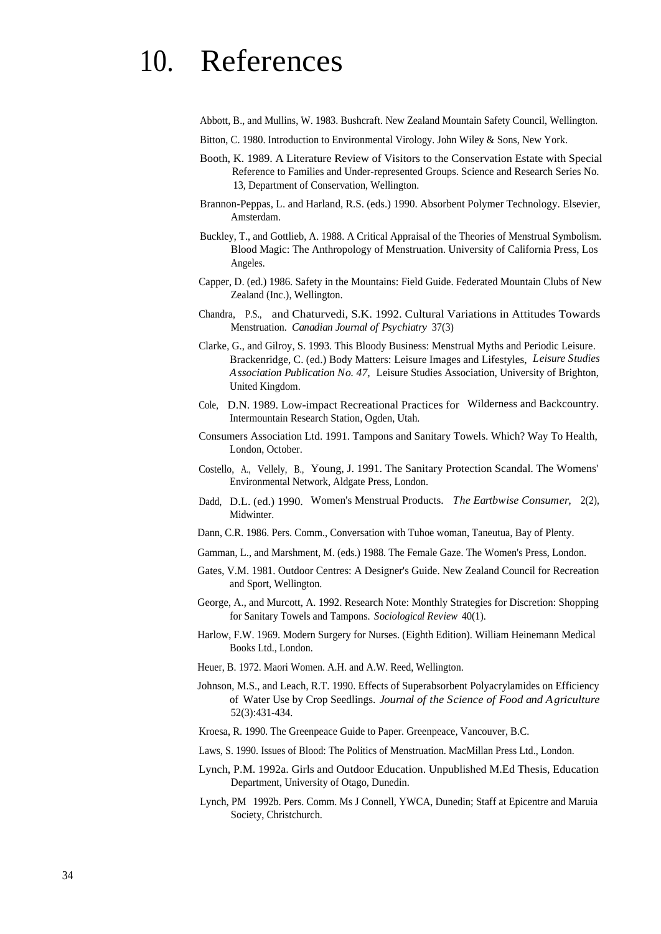# 10. References

Abbott, B., and Mullins, W. 1983. Bushcraft. New Zealand Mountain Safety Council, Wellington.

- Bitton, C. 1980. Introduction to Environmental Virology. John Wiley & Sons, New York.
- Booth, K. 1989. A Literature Review of Visitors to the Conservation Estate with Special Reference to Families and Under-represented Groups. Science and Research Series No. 13, Department of Conservation, Wellington.
- Brannon-Peppas, L. and Harland, R.S. (eds.) 1990. Absorbent Polymer Technology. Elsevier, Amsterdam.
- Buckley, T., and Gottlieb, A. 1988. A Critical Appraisal of the Theories of Menstrual Symbolism. Blood Magic: The Anthropology of Menstruation. University of California Press, Los Angeles.
- Capper, D. (ed.) 1986. Safety in the Mountains: Field Guide. Federated Mountain Clubs of New Zealand (Inc.), Wellington.
- Chandra, P.S., and Chaturvedi, S.K. 1992. Cultural Variations in Attitudes Towards Menstruation. *Canadian Journal of Psychiatry* 37(3)
- Clarke, G., and Gilroy, S. 1993. This Bloody Business: Menstrual Myths and Periodic Leisure. Brackenridge, C. (ed.) Body Matters: Leisure Images and Lifestyles, *Leisure Studies Association Publication No. 47,* Leisure Studies Association, University of Brighton, United Kingdom.
- Cole, D.N. 1989. Low-impact Recreational Practices for Wilderness and Backcountry. Intermountain Research Station, Ogden, Utah.
- Consumers Association Ltd. 1991. Tampons and Sanitary Towels. Which? Way To Health, London, October.
- Costello, A., Vellely, B., Young, J. 1991. The Sanitary Protection Scandal. The Womens' Environmental Network, Aldgate Press, London.
- Dadd, D.L. (ed.) 1990. Women's Menstrual Products. *The Eartbwise Consumer,* 2(2), Midwinter.
- Dann, C.R. 1986. Pers. Comm., Conversation with Tuhoe woman, Taneutua, Bay of Plenty.
- Gamman, L., and Marshment, M. (eds.) 1988. The Female Gaze. The Women's Press, London.
- Gates, V.M. 1981. Outdoor Centres: A Designer's Guide. New Zealand Council for Recreation and Sport, Wellington.
- George, A., and Murcott, A. 1992. Research Note: Monthly Strategies for Discretion: Shopping for Sanitary Towels and Tampons. *Sociological Review* 40(1).
- Harlow, F.W. 1969. Modern Surgery for Nurses. (Eighth Edition). William Heinemann Medical Books Ltd., London.
- Heuer, B. 1972. Maori Women. A.H. and A.W. Reed, Wellington.
- Johnson, M.S., and Leach, R.T. 1990. Effects of Superabsorbent Polyacrylamides on Efficiency of Water Use by Crop Seedlings. *Journal of the Science of Food and Agriculture* 52(3):431-434.
- Kroesa, R. 1990. The Greenpeace Guide to Paper. Greenpeace, Vancouver, B.C.
- Laws, S. 1990. Issues of Blood: The Politics of Menstruation. MacMillan Press Ltd., London.
- Lynch, P.M. 1992a. Girls and Outdoor Education. Unpublished M.Ed Thesis, Education Department, University of Otago, Dunedin.
- Lynch, PM 1992b. Pers. Comm. Ms J Connell, YWCA, Dunedin; Staff at Epicentre and Maruia Society, Christchurch.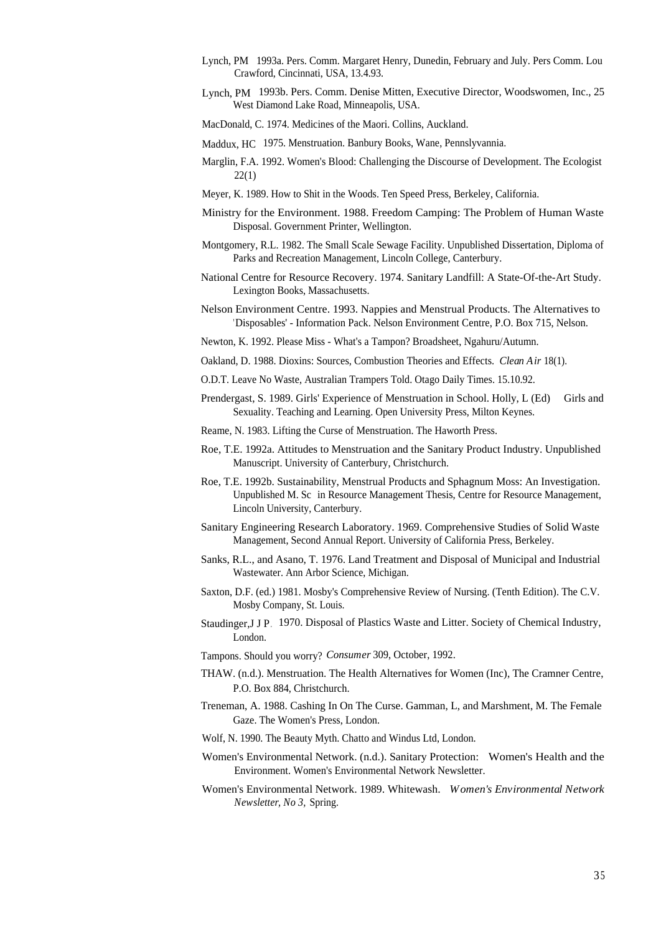- Lynch, PM 1993a. Pers. Comm. Margaret Henry, Dunedin, February and July. Pers Comm. Lou Crawford, Cincinnati, USA, 13.4.93.
- Lynch, PM 1993b. Pers. Comm. Denise Mitten, Executive Director, Woodswomen, Inc., 25 West Diamond Lake Road, Minneapolis, USA.
- MacDonald, C. 1974. Medicines of the Maori. Collins, Auckland.
- Maddux, HC 1975. Menstruation. Banbury Books, Wane, Pennslyvannia.
- Marglin, F.A. 1992. Women's Blood: Challenging the Discourse of Development. The Ecologist 22(1)
- Meyer, K. 1989. How to Shit in the Woods. Ten Speed Press, Berkeley, California.
- Ministry for the Environment. 1988. Freedom Camping: The Problem of Human Waste Disposal. Government Printer, Wellington.
- Montgomery, R.L. 1982. The Small Scale Sewage Facility. Unpublished Dissertation, Diploma of Parks and Recreation Management, Lincoln College, Canterbury.
- National Centre for Resource Recovery. 1974. Sanitary Landfill: A State-Of-the-Art Study. Lexington Books, Massachusetts.
- Nelson Environment Centre. 1993. Nappies and Menstrual Products. The Alternatives to 'Disposables' - Information Pack. Nelson Environment Centre, P.O. Box 715, Nelson.
- Newton, K. 1992. Please Miss What's a Tampon? Broadsheet, Ngahuru/Autumn.
- Oakland, D. 1988. Dioxins: Sources, Combustion Theories and Effects. *Clean Air* 18(1).
- O.D.T. Leave No Waste, Australian Trampers Told. Otago Daily Times. 15.10.92.
- Prendergast, S. 1989. Girls' Experience of Menstruation in School. Holly, L (Ed) Girls and Sexuality. Teaching and Learning. Open University Press, Milton Keynes.
- Reame, N. 1983. Lifting the Curse of Menstruation. The Haworth Press.
- Roe, T.E. 1992a. Attitudes to Menstruation and the Sanitary Product Industry. Unpublished Manuscript. University of Canterbury, Christchurch.
- Roe, T.E. 1992b. Sustainability, Menstrual Products and Sphagnum Moss: An Investigation. Unpublished M. Sc in Resource Management Thesis, Centre for Resource Management, Lincoln University, Canterbury.
- Sanitary Engineering Research Laboratory. 1969. Comprehensive Studies of Solid Waste Management, Second Annual Report. University of California Press, Berkeley.
- Sanks, R.L., and Asano, T. 1976. Land Treatment and Disposal of Municipal and Industrial Wastewater. Ann Arbor Science, Michigan.
- Saxton, D.F. (ed.) 1981. Mosby's Comprehensive Review of Nursing. (Tenth Edition). The C.V. Mosby Company, St. Louis.
- Staudinger,J J P. 1970. Disposal of Plastics Waste and Litter. Society of Chemical Industry, London.
- Tampons. Should you worry? *Consumer* 309, October, 1992.
- THAW. (n.d.). Menstruation. The Health Alternatives for Women (Inc), The Cramner Centre, P.O. Box 884, Christchurch.
- Treneman, A. 1988. Cashing In On The Curse. Gamman, L, and Marshment, M. The Female Gaze. The Women's Press, London.
- Wolf, N. 1990. The Beauty Myth. Chatto and Windus Ltd, London.
- Women's Environmental Network. (n.d.). Sanitary Protection: Women's Health and the Environment. Women's Environmental Network Newsletter.
- Women's Environmental Network. 1989. Whitewash. *Women's Environmental Network Newsletter, No 3,* Spring.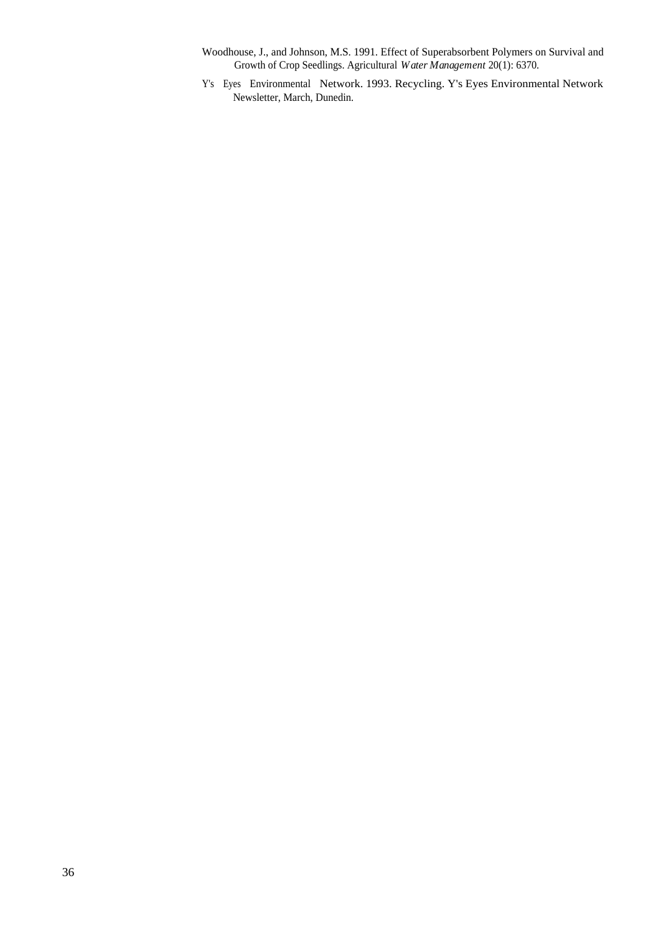- Woodhouse, J., and Johnson, M.S. 1991. Effect of Superabsorbent Polymers on Survival and Growth of Crop Seedlings. Agricultural *Water Management* 20(1): 6370.
- Y's Eyes Environmental Network. 1993. Recycling. Y's Eyes Environmental Network Newsletter, March, Dunedin.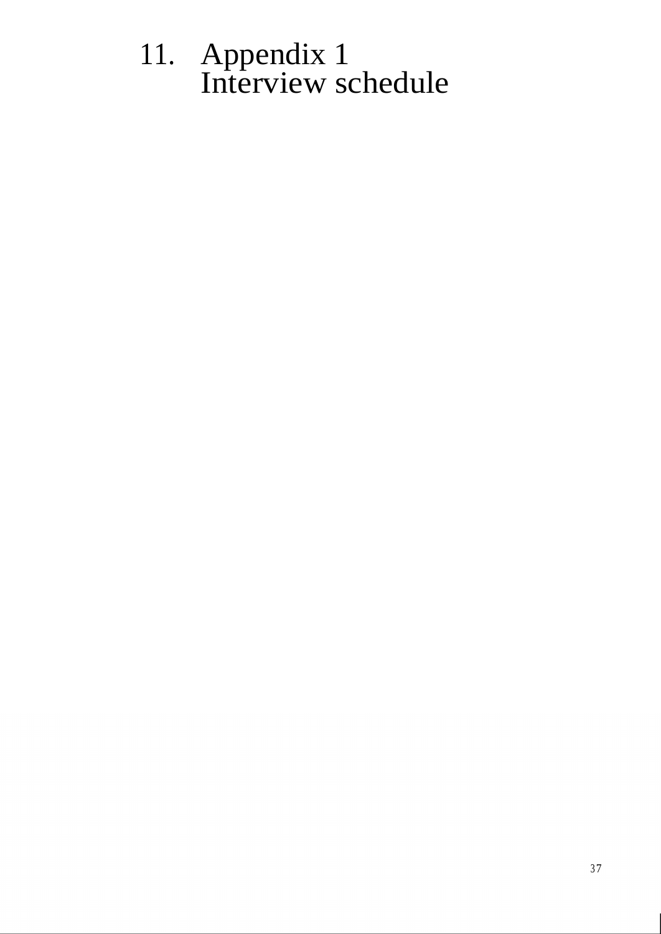# 11. Appendix 1 Interview schedule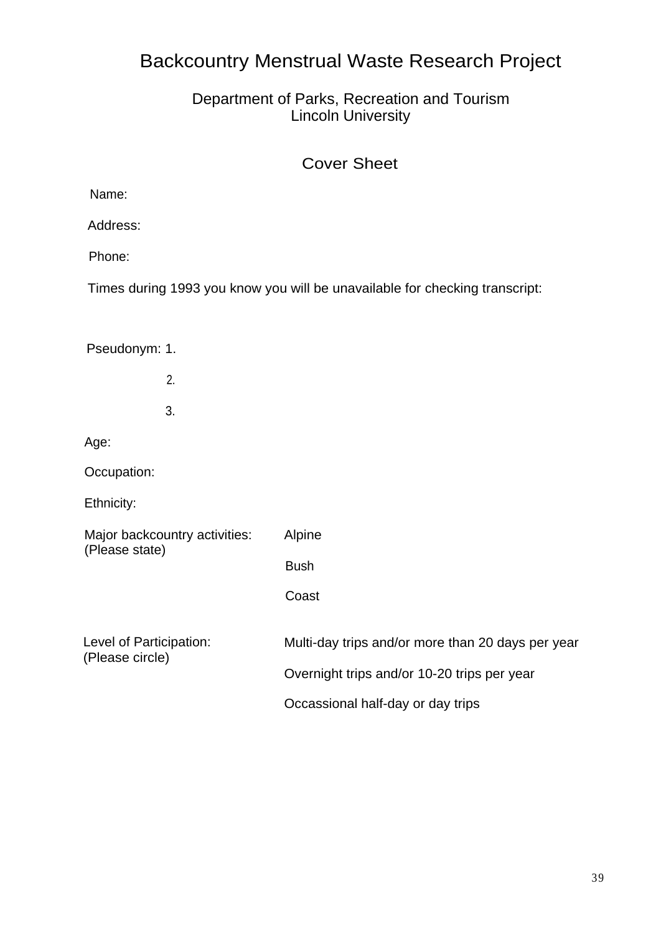## Backcountry Menstrual Waste Research Project

## Department of Parks, Recreation and Tourism Lincoln University

## Cover Sheet

Address:

Phone:

Times during 1993 you know you will be unavailable for checking transcript:

Pseudonym: 1.

2. 3.

Age:

Occupation:

Ethnicity:

| Major backcountry activities:<br>(Please state) | Alpine                                            |
|-------------------------------------------------|---------------------------------------------------|
|                                                 | <b>Bush</b>                                       |
|                                                 | Coast                                             |
| Level of Participation:<br>(Please circle)      | Multi-day trips and/or more than 20 days per year |
|                                                 | Overnight trips and/or 10-20 trips per year       |
|                                                 | Occassional half-day or day trips                 |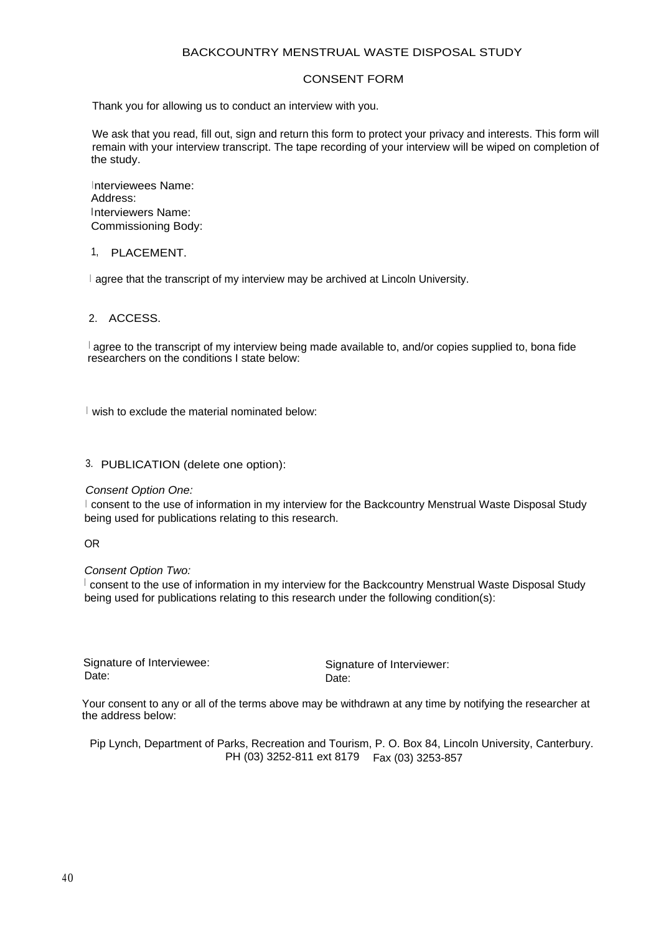#### BACKCOUNTRY MENSTRUAL WASTE DISPOSAL STUDY

#### CONSENT FORM

Thank you for allowing us to conduct an interview with you.

We ask that you read, fill out, sign and return this form to protect your privacy and interests. This form will remain with your interview transcript. The tape recording of your interview will be wiped on completion of the study.

Interviewees Name: Address: Interviewers Name: Commissioning Body:

#### 1, PLACEMENT.

<sup>I</sup> agree that the transcript of my interview may be archived at Lincoln University.

2. ACCESS.

 $\frac{1}{2}$  agree to the transcript of my interview being made available to, and/or copies supplied to, bona fide researchers on the conditions I state below:

I wish to exclude the material nominated below:

3. PUBLICATION (delete one option):

Consent Option One:

<sup>I</sup> consent to the use of information in my interview for the Backcountry Menstrual Waste Disposal Study being used for publications relating to this research.

OR

Consent Option Two:

 $\perp$  consent to the use of information in my interview for the Backcountry Menstrual Waste Disposal Study being used for publications relating to this research under the following condition(s):

Signature of Interviewee:<br>Date: Signature of Interviewer:<br>Date: Date: **Date:** Date: **Date:** Date:

Your consent to any or all of the terms above may be withdrawn at any time by notifying the researcher at the address below:

Pip Lynch, Department of Parks, Recreation and Tourism, P. O. Box 84, Lincoln University, Canterbury. PH (03) 3252-811 ext 8179 Fax (03) 3253-857